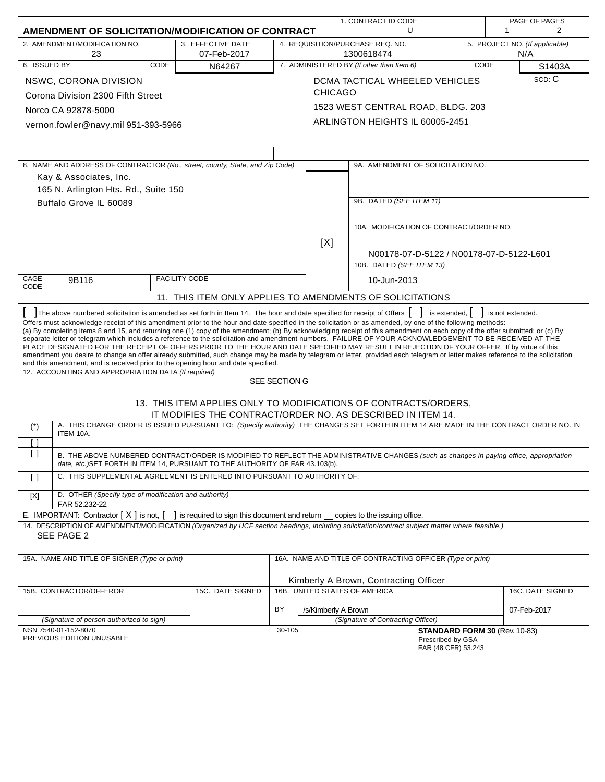| AMENDMENT OF SOLICITATION/MODIFICATION OF CONTRACT                                                                                                                                                                                                                                                                                                                                                                                                                                                                                                                                                                                                                                                                                                                                                                                                                                                                                                                                                                                                                        |                                              |                               | 1. CONTRACT ID CODE<br>U                                                                                                                |      | PAGE OF PAGES<br>1<br>2               |  |  |
|---------------------------------------------------------------------------------------------------------------------------------------------------------------------------------------------------------------------------------------------------------------------------------------------------------------------------------------------------------------------------------------------------------------------------------------------------------------------------------------------------------------------------------------------------------------------------------------------------------------------------------------------------------------------------------------------------------------------------------------------------------------------------------------------------------------------------------------------------------------------------------------------------------------------------------------------------------------------------------------------------------------------------------------------------------------------------|----------------------------------------------|-------------------------------|-----------------------------------------------------------------------------------------------------------------------------------------|------|---------------------------------------|--|--|
| 2. AMENDMENT/MODIFICATION NO.                                                                                                                                                                                                                                                                                                                                                                                                                                                                                                                                                                                                                                                                                                                                                                                                                                                                                                                                                                                                                                             |                                              |                               |                                                                                                                                         |      |                                       |  |  |
| 23                                                                                                                                                                                                                                                                                                                                                                                                                                                                                                                                                                                                                                                                                                                                                                                                                                                                                                                                                                                                                                                                        | 3. EFFECTIVE DATE<br>07-Feb-2017             |                               | 4. REQUISITION/PURCHASE REQ. NO.<br>1300618474                                                                                          |      | 5. PROJECT NO. (If applicable)<br>N/A |  |  |
| 6. ISSUED BY<br>CODE                                                                                                                                                                                                                                                                                                                                                                                                                                                                                                                                                                                                                                                                                                                                                                                                                                                                                                                                                                                                                                                      | N64267                                       |                               | 7. ADMINISTERED BY (If other than Item 6)                                                                                               | CODE | S1403A                                |  |  |
| NSWC, CORONA DIVISION                                                                                                                                                                                                                                                                                                                                                                                                                                                                                                                                                                                                                                                                                                                                                                                                                                                                                                                                                                                                                                                     |                                              | <b>CHICAGO</b>                | DCMA TACTICAL WHEELED VEHICLES                                                                                                          |      | SCD: C                                |  |  |
| Corona Division 2300 Fifth Street                                                                                                                                                                                                                                                                                                                                                                                                                                                                                                                                                                                                                                                                                                                                                                                                                                                                                                                                                                                                                                         |                                              |                               |                                                                                                                                         |      |                                       |  |  |
| Norco CA 92878-5000                                                                                                                                                                                                                                                                                                                                                                                                                                                                                                                                                                                                                                                                                                                                                                                                                                                                                                                                                                                                                                                       |                                              |                               | 1523 WEST CENTRAL ROAD, BLDG. 203                                                                                                       |      |                                       |  |  |
| vernon.fowler@navy.mil 951-393-5966                                                                                                                                                                                                                                                                                                                                                                                                                                                                                                                                                                                                                                                                                                                                                                                                                                                                                                                                                                                                                                       |                                              |                               | ARLINGTON HEIGHTS IL 60005-2451                                                                                                         |      |                                       |  |  |
|                                                                                                                                                                                                                                                                                                                                                                                                                                                                                                                                                                                                                                                                                                                                                                                                                                                                                                                                                                                                                                                                           |                                              |                               |                                                                                                                                         |      |                                       |  |  |
| 8. NAME AND ADDRESS OF CONTRACTOR (No., street, county, State, and Zip Code)                                                                                                                                                                                                                                                                                                                                                                                                                                                                                                                                                                                                                                                                                                                                                                                                                                                                                                                                                                                              |                                              |                               | 9A. AMENDMENT OF SOLICITATION NO.                                                                                                       |      |                                       |  |  |
| Kay & Associates, Inc.                                                                                                                                                                                                                                                                                                                                                                                                                                                                                                                                                                                                                                                                                                                                                                                                                                                                                                                                                                                                                                                    |                                              |                               |                                                                                                                                         |      |                                       |  |  |
| 165 N. Arlington Hts. Rd., Suite 150                                                                                                                                                                                                                                                                                                                                                                                                                                                                                                                                                                                                                                                                                                                                                                                                                                                                                                                                                                                                                                      |                                              |                               |                                                                                                                                         |      |                                       |  |  |
| Buffalo Grove IL 60089                                                                                                                                                                                                                                                                                                                                                                                                                                                                                                                                                                                                                                                                                                                                                                                                                                                                                                                                                                                                                                                    |                                              |                               | 9B. DATED (SEE ITEM 11)                                                                                                                 |      |                                       |  |  |
|                                                                                                                                                                                                                                                                                                                                                                                                                                                                                                                                                                                                                                                                                                                                                                                                                                                                                                                                                                                                                                                                           |                                              |                               |                                                                                                                                         |      |                                       |  |  |
|                                                                                                                                                                                                                                                                                                                                                                                                                                                                                                                                                                                                                                                                                                                                                                                                                                                                                                                                                                                                                                                                           |                                              |                               | 10A. MODIFICATION OF CONTRACT/ORDER NO.                                                                                                 |      |                                       |  |  |
|                                                                                                                                                                                                                                                                                                                                                                                                                                                                                                                                                                                                                                                                                                                                                                                                                                                                                                                                                                                                                                                                           |                                              | [X]                           |                                                                                                                                         |      |                                       |  |  |
|                                                                                                                                                                                                                                                                                                                                                                                                                                                                                                                                                                                                                                                                                                                                                                                                                                                                                                                                                                                                                                                                           |                                              |                               | N00178-07-D-5122 / N00178-07-D-5122-L601                                                                                                |      |                                       |  |  |
|                                                                                                                                                                                                                                                                                                                                                                                                                                                                                                                                                                                                                                                                                                                                                                                                                                                                                                                                                                                                                                                                           |                                              |                               | 10B. DATED (SEE ITEM 13)                                                                                                                |      |                                       |  |  |
| CAGE<br>9B116                                                                                                                                                                                                                                                                                                                                                                                                                                                                                                                                                                                                                                                                                                                                                                                                                                                                                                                                                                                                                                                             | <b>FACILITY CODE</b>                         |                               | 10-Jun-2013                                                                                                                             |      |                                       |  |  |
| CODE                                                                                                                                                                                                                                                                                                                                                                                                                                                                                                                                                                                                                                                                                                                                                                                                                                                                                                                                                                                                                                                                      |                                              |                               | 11. THIS ITEM ONLY APPLIES TO AMENDMENTS OF SOLICITATIONS                                                                               |      |                                       |  |  |
|                                                                                                                                                                                                                                                                                                                                                                                                                                                                                                                                                                                                                                                                                                                                                                                                                                                                                                                                                                                                                                                                           |                                              |                               |                                                                                                                                         |      |                                       |  |  |
| The above numbered solicitation is amended as set forth in Item 14. The hour and date specified for receipt of Offers $\begin{bmatrix} \cdot \end{bmatrix}$ is extended, $\begin{bmatrix} \cdot \end{bmatrix}$ is not extended.<br>Offers must acknowledge receipt of this amendment prior to the hour and date specified in the solicitation or as amended, by one of the following methods:<br>(a) By completing Items 8 and 15, and returning one (1) copy of the amendment; (b) By acknowledging receipt of this amendment on each copy of the offer submitted; or (c) By<br>separate letter or telegram which includes a reference to the solicitation and amendment numbers. FAILURE OF YOUR ACKNOWLEDGEMENT TO BE RECEIVED AT THE<br>PLACE DESIGNATED FOR THE RECEIPT OF OFFERS PRIOR TO THE HOUR AND DATE SPECIFIED MAY RESULT IN REJECTION OF YOUR OFFER. If by virtue of this<br>amendment you desire to change an offer already submitted, such change may be made by telegram or letter, provided each telegram or letter makes reference to the solicitation |                                              |                               |                                                                                                                                         |      |                                       |  |  |
| and this amendment, and is received prior to the opening hour and date specified.<br>12. ACCOUNTING AND APPROPRIATION DATA (If required)                                                                                                                                                                                                                                                                                                                                                                                                                                                                                                                                                                                                                                                                                                                                                                                                                                                                                                                                  |                                              |                               |                                                                                                                                         |      |                                       |  |  |
|                                                                                                                                                                                                                                                                                                                                                                                                                                                                                                                                                                                                                                                                                                                                                                                                                                                                                                                                                                                                                                                                           |                                              | SEE SECTION G                 |                                                                                                                                         |      |                                       |  |  |
|                                                                                                                                                                                                                                                                                                                                                                                                                                                                                                                                                                                                                                                                                                                                                                                                                                                                                                                                                                                                                                                                           |                                              |                               | 13. THIS ITEM APPLIES ONLY TO MODIFICATIONS OF CONTRACTS/ORDERS,                                                                        |      |                                       |  |  |
|                                                                                                                                                                                                                                                                                                                                                                                                                                                                                                                                                                                                                                                                                                                                                                                                                                                                                                                                                                                                                                                                           |                                              |                               | IT MODIFIES THE CONTRACT/ORDER NO. AS DESCRIBED IN ITEM 14.                                                                             |      |                                       |  |  |
| $(\dot{\phantom{a}})$<br>ITEM 10A.                                                                                                                                                                                                                                                                                                                                                                                                                                                                                                                                                                                                                                                                                                                                                                                                                                                                                                                                                                                                                                        |                                              |                               | A. THIS CHANGE ORDER IS ISSUED PURSUANT TO: (Specify authority) THE CHANGES SET FORTH IN ITEM 14 ARE MADE IN THE CONTRACT ORDER NO. IN  |      |                                       |  |  |
|                                                                                                                                                                                                                                                                                                                                                                                                                                                                                                                                                                                                                                                                                                                                                                                                                                                                                                                                                                                                                                                                           |                                              |                               |                                                                                                                                         |      |                                       |  |  |
| $\lceil$ $\rceil$<br>date, etc.) SET FORTH IN ITEM 14, PURSUANT TO THE AUTHORITY OF FAR 43.103(b).                                                                                                                                                                                                                                                                                                                                                                                                                                                                                                                                                                                                                                                                                                                                                                                                                                                                                                                                                                        |                                              |                               | B. THE ABOVE NUMBERED CONTRACT/ORDER IS MODIFIED TO REFLECT THE ADMINISTRATIVE CHANGES (such as changes in paying office, appropriation |      |                                       |  |  |
| C. THIS SUPPLEMENTAL AGREEMENT IS ENTERED INTO PURSUANT TO AUTHORITY OF:<br>$\left[ \begin{array}{c} \end{array} \right]$                                                                                                                                                                                                                                                                                                                                                                                                                                                                                                                                                                                                                                                                                                                                                                                                                                                                                                                                                 |                                              |                               |                                                                                                                                         |      |                                       |  |  |
| D. OTHER (Specify type of modification and authority)<br>$[{\sf X}]$<br>FAR 52.232-22                                                                                                                                                                                                                                                                                                                                                                                                                                                                                                                                                                                                                                                                                                                                                                                                                                                                                                                                                                                     |                                              |                               |                                                                                                                                         |      |                                       |  |  |
| E. IMPORTANT: Contractor $[X]$ is not,                                                                                                                                                                                                                                                                                                                                                                                                                                                                                                                                                                                                                                                                                                                                                                                                                                                                                                                                                                                                                                    | is required to sign this document and return |                               | copies to the issuing office.                                                                                                           |      |                                       |  |  |
| 14. DESCRIPTION OF AMENDMENT/MODIFICATION (Organized by UCF section headings, including solicitation/contract subject matter where feasible.)<br>SEE PAGE 2                                                                                                                                                                                                                                                                                                                                                                                                                                                                                                                                                                                                                                                                                                                                                                                                                                                                                                               |                                              |                               |                                                                                                                                         |      |                                       |  |  |
| 15A. NAME AND TITLE OF SIGNER (Type or print)                                                                                                                                                                                                                                                                                                                                                                                                                                                                                                                                                                                                                                                                                                                                                                                                                                                                                                                                                                                                                             |                                              |                               |                                                                                                                                         |      |                                       |  |  |
|                                                                                                                                                                                                                                                                                                                                                                                                                                                                                                                                                                                                                                                                                                                                                                                                                                                                                                                                                                                                                                                                           |                                              |                               | 16A. NAME AND TITLE OF CONTRACTING OFFICER (Type or print)                                                                              |      |                                       |  |  |
|                                                                                                                                                                                                                                                                                                                                                                                                                                                                                                                                                                                                                                                                                                                                                                                                                                                                                                                                                                                                                                                                           |                                              |                               | Kimberly A Brown, Contracting Officer                                                                                                   |      |                                       |  |  |
| 15B. CONTRACTOR/OFFEROR                                                                                                                                                                                                                                                                                                                                                                                                                                                                                                                                                                                                                                                                                                                                                                                                                                                                                                                                                                                                                                                   | 15C. DATE SIGNED                             | 16B. UNITED STATES OF AMERICA |                                                                                                                                         |      | 16C. DATE SIGNED                      |  |  |
|                                                                                                                                                                                                                                                                                                                                                                                                                                                                                                                                                                                                                                                                                                                                                                                                                                                                                                                                                                                                                                                                           |                                              | BY                            | /s/Kimberly A Brown                                                                                                                     |      | 07-Feb-2017                           |  |  |
| (Signature of person authorized to sign)                                                                                                                                                                                                                                                                                                                                                                                                                                                                                                                                                                                                                                                                                                                                                                                                                                                                                                                                                                                                                                  |                                              |                               | (Signature of Contracting Officer)                                                                                                      |      |                                       |  |  |
| NSN 7540-01-152-8070<br>PREVIOUS EDITION UNUSABLE                                                                                                                                                                                                                                                                                                                                                                                                                                                                                                                                                                                                                                                                                                                                                                                                                                                                                                                                                                                                                         |                                              | 30-105                        | Prescribed by GSA<br>FAR (48 CFR) 53.243                                                                                                |      | STANDARD FORM 30 (Rev. 10-83)         |  |  |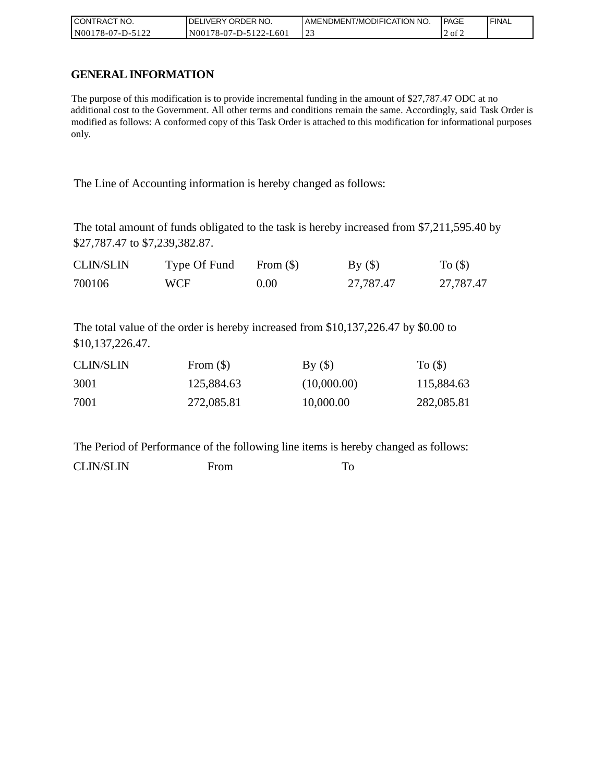| CONTRACT NO.     | DELIVERY ORDER NO.    | AMENDMENT/MODIFICATION NO. | l PAGE | ' FINAL |
|------------------|-----------------------|----------------------------|--------|---------|
| N00178-07-D-5122 | N00178-07-D-5122-L601 | ر_ ب                       | 2 of 2 |         |

## **GENERAL INFORMATION**

The purpose of this modification is to provide incremental funding in the amount of \$27,787.47 ODC at no additional cost to the Government. All other terms and conditions remain the same. Accordingly, said Task Order is modified as follows: A conformed copy of this Task Order is attached to this modification for informational purposes only.

The Line of Accounting information is hereby changed as follows:

The total amount of funds obligated to the task is hereby increased from \$7,211,595.40 by \$27,787.47 to \$7,239,382.87.

| <b>CLIN/SLIN</b> | Type Of Fund | From $(\$)$ | By()      | To $($ \$ $)$ |
|------------------|--------------|-------------|-----------|---------------|
| 700106           | WCF          | $0.00\,$    | 27,787.47 | 27,787.47     |

The total value of the order is hereby increased from \$10,137,226.47 by \$0.00 to \$10,137,226.47.

| <b>CLIN/SLIN</b> | From $(\$)$ | By()        | To $($ )   |
|------------------|-------------|-------------|------------|
| 3001             | 125,884.63  | (10,000.00) | 115,884.63 |
| 7001             | 272,085.81  | 10,000.00   | 282,085.81 |

The Period of Performance of the following line items is hereby changed as follows:

CLIN/SLIN From To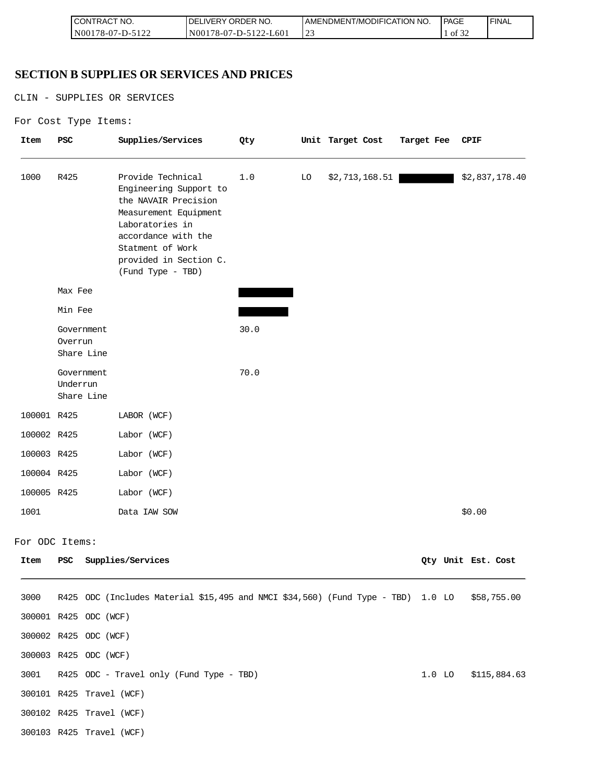| I CONTRACT NO.     | NO.<br>ORDER <sup>'</sup><br>.IVERY<br>DELI    | AMENDMENT/MODIFICATION NO. | <b>PAGE</b>            | 'FINAL |
|--------------------|------------------------------------------------|----------------------------|------------------------|--------|
| N00178-07<br>7-D-. | L60<br>N00178-07-D-5122<br>$\prime$ - $\prime$ | ب سے                       | $\mathcal{L}$<br>of 32 |        |

## **SECTION B SUPPLIES OR SERVICES AND PRICES**

CLIN - SUPPLIES OR SERVICES

```
For Cost Type Items:
```

| Item        | PSC                                  | Supplies/Services                                                                                                                                                                                         | Qty  |    | Unit Target Cost | Target Fee | CPIF               |
|-------------|--------------------------------------|-----------------------------------------------------------------------------------------------------------------------------------------------------------------------------------------------------------|------|----|------------------|------------|--------------------|
| 1000        | R425                                 | Provide Technical<br>Engineering Support to<br>the NAVAIR Precision<br>Measurement Equipment<br>Laboratories in<br>accordance with the<br>Statment of Work<br>provided in Section C.<br>(Fund Type - TBD) | 1.0  | LO | \$2,713,168.51   |            | \$2,837,178.40     |
|             | Max Fee                              |                                                                                                                                                                                                           |      |    |                  |            |                    |
|             | Min Fee                              |                                                                                                                                                                                                           |      |    |                  |            |                    |
|             | Government<br>Overrun<br>Share Line  |                                                                                                                                                                                                           | 30.0 |    |                  |            |                    |
|             | Government<br>Underrun<br>Share Line |                                                                                                                                                                                                           | 70.0 |    |                  |            |                    |
| 100001 R425 |                                      | LABOR (WCF)                                                                                                                                                                                               |      |    |                  |            |                    |
| 100002 R425 |                                      | Labor (WCF)                                                                                                                                                                                               |      |    |                  |            |                    |
| 100003 R425 |                                      | Labor (WCF)                                                                                                                                                                                               |      |    |                  |            |                    |
| 100004 R425 |                                      | Labor (WCF)                                                                                                                                                                                               |      |    |                  |            |                    |
| 100005 R425 |                                      | Labor (WCF)                                                                                                                                                                                               |      |    |                  |            |                    |
| 1001        |                                      | Data IAW SOW                                                                                                                                                                                              |      |    |                  |            | \$0.00             |
|             | For ODC Items:                       |                                                                                                                                                                                                           |      |    |                  |            |                    |
| Item        | PSC                                  | Supplies/Services                                                                                                                                                                                         |      |    |                  |            | Qty Unit Est. Cost |
| 3000        |                                      | R425 ODC (Includes Material \$15,495 and NMCI \$34,560) (Fund Type - TBD) 1.0 LO                                                                                                                          |      |    |                  |            | \$58,755.00        |
|             | 300001 R425 ODC (WCF)                |                                                                                                                                                                                                           |      |    |                  |            |                    |
|             | 300002 R425 ODC (WCF)                |                                                                                                                                                                                                           |      |    |                  |            |                    |
|             | 300003 R425 ODC (WCF)                |                                                                                                                                                                                                           |      |    |                  |            |                    |
| 3001        |                                      | R425 ODC - Travel only (Fund Type - TBD)                                                                                                                                                                  |      |    |                  | $1.0$ LO   | \$115,884.63       |
|             | 300101 R425 Travel (WCF)             |                                                                                                                                                                                                           |      |    |                  |            |                    |
|             | 300102 R425 Travel (WCF)             |                                                                                                                                                                                                           |      |    |                  |            |                    |
|             | 300103 R425 Travel (WCF)             |                                                                                                                                                                                                           |      |    |                  |            |                    |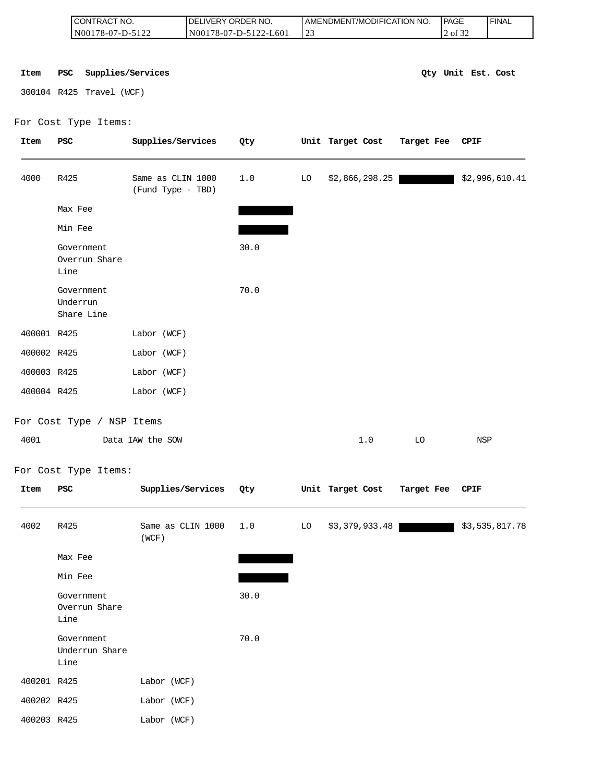|             | CONTRACT NO.<br>N00178-07-D-5122     |                                        | DELIVERY ORDER NO.<br>N00178-07-D-5122-L601 |      | 23 | AMENDMENT/MODIFICATION NO. |            | PAGE<br>2 of 32    | <b>FINAL</b>   |
|-------------|--------------------------------------|----------------------------------------|---------------------------------------------|------|----|----------------------------|------------|--------------------|----------------|
|             |                                      |                                        |                                             |      |    |                            |            |                    |                |
|             |                                      |                                        |                                             |      |    |                            |            |                    |                |
| Item        | <b>PSC</b>                           | Supplies/Services                      |                                             |      |    |                            |            | Qty Unit Est. Cost |                |
|             | 300104 R425 Travel (WCF)             |                                        |                                             |      |    |                            |            |                    |                |
|             | For Cost Type Items:                 |                                        |                                             |      |    |                            |            |                    |                |
| <b>Item</b> | PSC                                  | Supplies/Services                      |                                             | Qty  |    | Unit Target Cost           | Target Fee | CPIF               |                |
| 4000        | R425                                 | Same as CLIN 1000<br>(Fund Type - TBD) |                                             | 1.0  | LO | \$2,866,298.25             |            |                    | \$2,996,610.41 |
|             | Max Fee                              |                                        |                                             |      |    |                            |            |                    |                |
|             | Min Fee                              |                                        |                                             |      |    |                            |            |                    |                |
|             | Government<br>Overrun Share<br>Line  |                                        |                                             | 30.0 |    |                            |            |                    |                |
|             | Government<br>Underrun<br>Share Line |                                        |                                             | 70.0 |    |                            |            |                    |                |
| 400001 R425 |                                      | Labor (WCF)                            |                                             |      |    |                            |            |                    |                |
| 400002 R425 |                                      | Labor (WCF)                            |                                             |      |    |                            |            |                    |                |
| 400003 R425 |                                      | Labor (WCF)                            |                                             |      |    |                            |            |                    |                |
| 400004 R425 |                                      | Labor (WCF)                            |                                             |      |    |                            |            |                    |                |
|             |                                      |                                        |                                             |      |    |                            |            |                    |                |
|             | For Cost Type / NSP Items            |                                        |                                             |      |    |                            |            |                    |                |
| 4001        |                                      | Data IAW the SOW                       |                                             |      |    | 1.0                        | LO         | <b>NSP</b>         |                |
|             | For Cost Type Items:                 |                                        |                                             |      |    |                            |            |                    |                |
| Item        | PSC                                  | Supplies/Services                      |                                             | Qty  |    | Unit Target Cost           | Target Fee | <b>CPIF</b>        |                |
| 4002        | R425                                 | Same as CLIN 1000<br>(WCF)             |                                             | 1.0  | LO | \$3,379,933.48             |            |                    | \$3,535,817.78 |
|             | Max Fee                              |                                        |                                             |      |    |                            |            |                    |                |
|             | Min Fee                              |                                        |                                             |      |    |                            |            |                    |                |
|             | Government                           |                                        |                                             | 30.0 |    |                            |            |                    |                |
|             | Overrun Share<br>Line                |                                        |                                             |      |    |                            |            |                    |                |
|             | Government<br>Underrun Share<br>Line |                                        |                                             | 70.0 |    |                            |            |                    |                |
| 400201 R425 |                                      | Labor (WCF)                            |                                             |      |    |                            |            |                    |                |
| 400202 R425 |                                      | Labor (WCF)                            |                                             |      |    |                            |            |                    |                |
| 400203 R425 |                                      | Labor (WCF)                            |                                             |      |    |                            |            |                    |                |

| 4001 | Data IAW the SOW |  | <b>NSP</b> |
|------|------------------|--|------------|
|      |                  |  |            |

## For Cost Type Items:

| Item        | <b>PSC</b>                           | Supplies/Services          | Qty  |    | Unit Target Cost | Target Fee CPIF |                |
|-------------|--------------------------------------|----------------------------|------|----|------------------|-----------------|----------------|
| 4002        | R425                                 | Same as CLIN 1000<br>(WCF) | 1.0  | LO | \$3,379,933.48   |                 | \$3,535,817.78 |
|             | Max Fee                              |                            |      |    |                  |                 |                |
|             | Min Fee                              |                            |      |    |                  |                 |                |
|             | Government<br>Overrun Share<br>Line  |                            | 30.0 |    |                  |                 |                |
|             | Government<br>Underrun Share<br>Line |                            | 70.0 |    |                  |                 |                |
| 400201 R425 |                                      | Labor (WCF)                |      |    |                  |                 |                |
| 400202 R425 |                                      | Labor (WCF)                |      |    |                  |                 |                |
| 400203 R425 |                                      | Labor (WCF)                |      |    |                  |                 |                |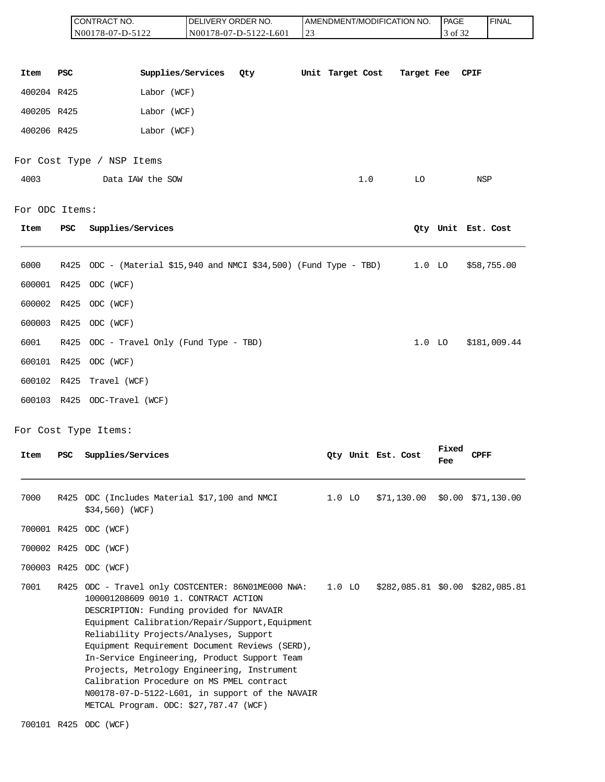|                |      | CONTRACT NO.<br>N00178-07-D-5122                                                                                                                                                                                                                                                                                                                                                                                                                                                                                               | DELIVERY ORDER NO. | N00178-07-D-5122-L601 | 23 |          |                  |                    | AMENDMENT/MODIFICATION NO. | PAGE<br>3 of 32     |             | <b>FINAL</b>                            |
|----------------|------|--------------------------------------------------------------------------------------------------------------------------------------------------------------------------------------------------------------------------------------------------------------------------------------------------------------------------------------------------------------------------------------------------------------------------------------------------------------------------------------------------------------------------------|--------------------|-----------------------|----|----------|------------------|--------------------|----------------------------|---------------------|-------------|-----------------------------------------|
| Item           | PSC  | Supplies/Services                                                                                                                                                                                                                                                                                                                                                                                                                                                                                                              |                    | Qty                   |    |          | Unit Target Cost |                    | Target Fee                 |                     | <b>CPIF</b> |                                         |
| 400204 R425    |      | Labor (WCF)                                                                                                                                                                                                                                                                                                                                                                                                                                                                                                                    |                    |                       |    |          |                  |                    |                            |                     |             |                                         |
| 400205 R425    |      | Labor (WCF)                                                                                                                                                                                                                                                                                                                                                                                                                                                                                                                    |                    |                       |    |          |                  |                    |                            |                     |             |                                         |
| 400206 R425    |      | Labor (WCF)                                                                                                                                                                                                                                                                                                                                                                                                                                                                                                                    |                    |                       |    |          |                  |                    |                            |                     |             |                                         |
|                |      | For Cost Type / NSP Items                                                                                                                                                                                                                                                                                                                                                                                                                                                                                                      |                    |                       |    |          |                  |                    |                            |                     |             |                                         |
| 4003           |      | Data IAW the SOW                                                                                                                                                                                                                                                                                                                                                                                                                                                                                                               |                    |                       |    |          | 1.0              |                    | LO                         |                     | <b>NSP</b>  |                                         |
| For ODC Items: |      |                                                                                                                                                                                                                                                                                                                                                                                                                                                                                                                                |                    |                       |    |          |                  |                    |                            |                     |             |                                         |
| Item           | PSC  | Supplies/Services                                                                                                                                                                                                                                                                                                                                                                                                                                                                                                              |                    |                       |    |          |                  |                    |                            | Qty Unit Est. Cost  |             |                                         |
| 6000           | R425 | ODC - (Material \$15,940 and NMCI \$34,500) (Fund Type - TBD)                                                                                                                                                                                                                                                                                                                                                                                                                                                                  |                    |                       |    |          |                  |                    | $1.0$ LO                   |                     |             | \$58,755.00                             |
| 600001 R425    |      | ODC (WCF)                                                                                                                                                                                                                                                                                                                                                                                                                                                                                                                      |                    |                       |    |          |                  |                    |                            |                     |             |                                         |
| 600002         | R425 | ODC (WCF)                                                                                                                                                                                                                                                                                                                                                                                                                                                                                                                      |                    |                       |    |          |                  |                    |                            |                     |             |                                         |
| 600003 R425    |      | ODC (WCF)                                                                                                                                                                                                                                                                                                                                                                                                                                                                                                                      |                    |                       |    |          |                  |                    |                            |                     |             |                                         |
| 6001           | R425 | ODC - Travel Only (Fund Type - TBD)                                                                                                                                                                                                                                                                                                                                                                                                                                                                                            |                    |                       |    |          |                  |                    | $1.0$ LO                   |                     |             | \$181,009.44                            |
| 600101 R425    |      | ODC (WCF)                                                                                                                                                                                                                                                                                                                                                                                                                                                                                                                      |                    |                       |    |          |                  |                    |                            |                     |             |                                         |
| 600102 R425    |      | Travel (WCF)                                                                                                                                                                                                                                                                                                                                                                                                                                                                                                                   |                    |                       |    |          |                  |                    |                            |                     |             |                                         |
|                |      | 600103 R425 ODC-Travel (WCF)                                                                                                                                                                                                                                                                                                                                                                                                                                                                                                   |                    |                       |    |          |                  |                    |                            |                     |             |                                         |
|                |      | For Cost Type Items:                                                                                                                                                                                                                                                                                                                                                                                                                                                                                                           |                    |                       |    |          |                  |                    |                            |                     |             |                                         |
| Item           | PSC  | Supplies/Services                                                                                                                                                                                                                                                                                                                                                                                                                                                                                                              |                    |                       |    |          |                  | Qty Unit Est. Cost |                            | <b>Fixed</b><br>Fee | <b>CPFF</b> |                                         |
| 7000           |      | R425 ODC (Includes Material \$17,100 and NMCI<br>\$34,560) (WCF)                                                                                                                                                                                                                                                                                                                                                                                                                                                               |                    |                       |    | $1.0$ LO |                  |                    | \$71,130.00                |                     |             | $$0.00$ $$71,130.00$                    |
|                |      | 700001 R425 ODC (WCF)                                                                                                                                                                                                                                                                                                                                                                                                                                                                                                          |                    |                       |    |          |                  |                    |                            |                     |             |                                         |
|                |      | 700002 R425 ODC (WCF)                                                                                                                                                                                                                                                                                                                                                                                                                                                                                                          |                    |                       |    |          |                  |                    |                            |                     |             |                                         |
|                |      | 700003 R425 ODC (WCF)                                                                                                                                                                                                                                                                                                                                                                                                                                                                                                          |                    |                       |    |          |                  |                    |                            |                     |             |                                         |
| 7001           |      | R425 ODC - Travel only COSTCENTER: 86N01ME000 NWA:<br>100001208609 0010 1. CONTRACT ACTION<br>DESCRIPTION: Funding provided for NAVAIR<br>Equipment Calibration/Repair/Support, Equipment<br>Reliability Projects/Analyses, Support<br>Equipment Requirement Document Reviews (SERD),<br>In-Service Engineering, Product Support Team<br>Projects, Metrology Engineering, Instrument<br>Calibration Procedure on MS PMEL contract<br>N00178-07-D-5122-L601, in support of the NAVAIR<br>METCAL Program. ODC: \$27,787.47 (WCF) |                    |                       |    |          |                  |                    |                            |                     |             | 1.0 LO \$282,085.81 \$0.00 \$282,085.81 |
|                |      | 700101 R425 ODC (WCF)                                                                                                                                                                                                                                                                                                                                                                                                                                                                                                          |                    |                       |    |          |                  |                    |                            |                     |             |                                         |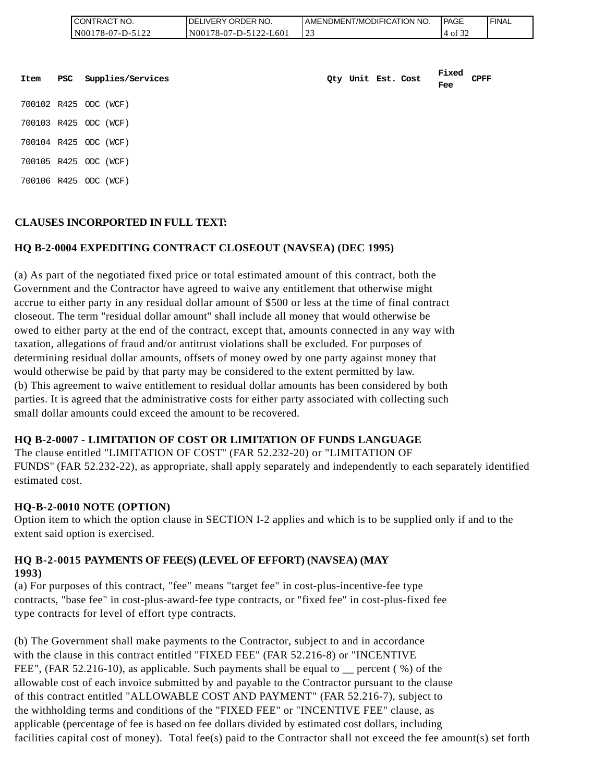| <b>ICONTRACT</b><br>" NO. | <b>IDELIVERY ORDER NO.</b> | AMENDMENT/MODIFICATION NO. | PAGE  | <b>FINAL</b> |
|---------------------------|----------------------------|----------------------------|-------|--------------|
| N00178-07-D-5122          | N00178-07-D-5122-L601      | ت سے                       | '4 of |              |

| Item | PSC | Supplies/Services     | Qty Unit Est. Cost |  | Fixed<br>Fee | <b>CPFF</b> |
|------|-----|-----------------------|--------------------|--|--------------|-------------|
|      |     | 700102 R425 ODC (WCF) |                    |  |              |             |
|      |     | 700103 R425 ODC (WCF) |                    |  |              |             |
|      |     | 700104 R425 ODC (WCF) |                    |  |              |             |
|      |     | 700105 R425 ODC (WCF) |                    |  |              |             |
|      |     | 700106 R425 ODC (WCF) |                    |  |              |             |

## **CLAUSES INCORPORTED IN FULL TEXT:**

#### **HQ B-2-0004 EXPEDITING CONTRACT CLOSEOUT (NAVSEA) (DEC 1995)**

(a) As part of the negotiated fixed price or total estimated amount of this contract, both the Government and the Contractor have agreed to waive any entitlement that otherwise might accrue to either party in any residual dollar amount of \$500 or less at the time of final contract closeout. The term "residual dollar amount" shall include all money that would otherwise be owed to either party at the end of the contract, except that, amounts connected in any way with taxation, allegations of fraud and/or antitrust violations shall be excluded. For purposes of determining residual dollar amounts, offsets of money owed by one party against money that would otherwise be paid by that party may be considered to the extent permitted by law. (b) This agreement to waive entitlement to residual dollar amounts has been considered by both parties. It is agreed that the administrative costs for either party associated with collecting such small dollar amounts could exceed the amount to be recovered.

## **HQ B-2-0007 - LIMITATION OF COST OR LIMITATION OF FUNDS LANGUAGE**

The clause entitled "LIMITATION OF COST" (FAR 52.232-20) or "LIMITATION OF FUNDS" (FAR 52.232-22), as appropriate, shall apply separately and independently to each separately identified estimated cost.

#### **HQ-B-2-0010 NOTE (OPTION)**

Option item to which the option clause in SECTION I-2 applies and which is to be supplied only if and to the extent said option is exercised.

#### **HQ B-2-0015 PAYMENTS OF FEE(S) (LEVEL OF EFFORT) (NAVSEA) (MAY 1993)**

(a) For purposes of this contract, "fee" means "target fee" in cost-plus-incentive-fee type contracts, "base fee" in cost-plus-award-fee type contracts, or "fixed fee" in cost-plus-fixed fee type contracts for level of effort type contracts.

(b) The Government shall make payments to the Contractor, subject to and in accordance with the clause in this contract entitled "FIXED FEE" (FAR 52.216-8) or "INCENTIVE FEE", (FAR 52.216-10), as applicable. Such payments shall be equal to percent ( $\%$ ) of the allowable cost of each invoice submitted by and payable to the Contractor pursuant to the clause of this contract entitled "ALLOWABLE COST AND PAYMENT" (FAR 52.216-7), subject to the withholding terms and conditions of the "FIXED FEE" or "INCENTIVE FEE" clause, as applicable (percentage of fee is based on fee dollars divided by estimated cost dollars, including facilities capital cost of money). Total fee(s) paid to the Contractor shall not exceed the fee amount(s) set forth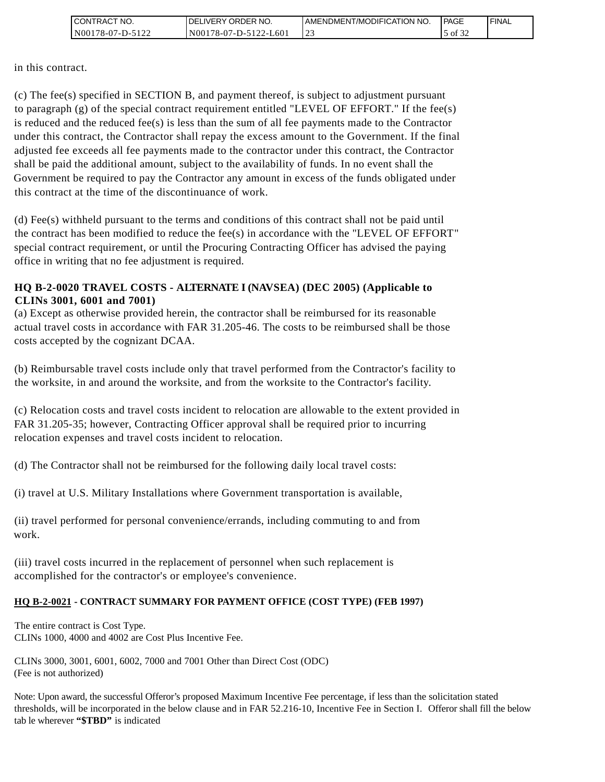| I CONTRACT NO.   | DELIVERY ORDER NO.    | I AMENDMENT/MODIFICATION NO. | <b>I PAGE</b> | ' FINAL |
|------------------|-----------------------|------------------------------|---------------|---------|
| N00178-07-D-5122 | N00178-07-D-5122-L601 |                              | 5 of 3∠       |         |

in this contract.

(c) The fee(s) specified in SECTION B, and payment thereof, is subject to adjustment pursuant to paragraph (g) of the special contract requirement entitled "LEVEL OF EFFORT." If the fee(s) is reduced and the reduced fee(s) is less than the sum of all fee payments made to the Contractor under this contract, the Contractor shall repay the excess amount to the Government. If the final adjusted fee exceeds all fee payments made to the contractor under this contract, the Contractor shall be paid the additional amount, subject to the availability of funds. In no event shall the Government be required to pay the Contractor any amount in excess of the funds obligated under this contract at the time of the discontinuance of work. CONTRACT NO.<br>
In this contract.<br>
(c) The fee(s) specified in SECT<br>
to paragraph (g) of the special c<br>
is reduced and the reduced fee(s<br>
is reduced and the reduced fee(s<br>
adjusted fee exceeds all fee pay<br>
shall be paid the

(d) Fee(s) withheld pursuant to the terms and conditions of this contract shall not be paid until the contract has been modified to reduce the fee(s) in accordance with the "LEVEL OF EFFORT" special contract requirement, or until the Procuring Contracting Officer has advised the paying office in writing that no fee adjustment is required.

## **HQ B-2-0020 TRAVEL COSTS - ALTERNATE I (NAVSEA) (DEC 2005) (Applicable to CLINs 3001, 6001 and 7001)**

(a) Except as otherwise provided herein, the contractor shall be reimbursed for its reasonable actual travel costs in accordance with FAR 31.205-46. The costs to be reimbursed shall be those costs accepted by the cognizant DCAA.

(b) Reimbursable travel costs include only that travel performed from the Contractor's facility to the worksite, in and around the worksite, and from the worksite to the Contractor's facility.

(c) Relocation costs and travel costs incident to relocation are allowable to the extent provided in FAR 31.205-35; however, Contracting Officer approval shall be required prior to incurring relocation expenses and travel costs incident to relocation.

(d) The Contractor shall not be reimbursed for the following daily local travel costs:

(i) travel at U.S. Military Installations where Government transportation is available,

(ii) travel performed for personal convenience/errands, including commuting to and from work.

(iii) travel costs incurred in the replacement of personnel when such replacement is accomplished for the contractor's or employee's convenience.

#### **HQ B-2-0021 - CONTRACT SUMMARY FOR PAYMENT OFFICE (COST TYPE) (FEB 1997)**

The entire contract is Cost Type. CLINs 1000, 4000 and 4002 are Cost Plus Incentive Fee.

CLINs 3000, 3001, 6001, 6002, 7000 and 7001 Other than Direct Cost (ODC) (Fee is not authorized)

Note: Upon award, the successful Offeror's proposed Maximum Incentive Fee percentage, if less than the solicitation stated thresholds, will be incorporated in the below clause and in FAR 52.216-10, Incentive Fee in Section I. Offeror shall fill the below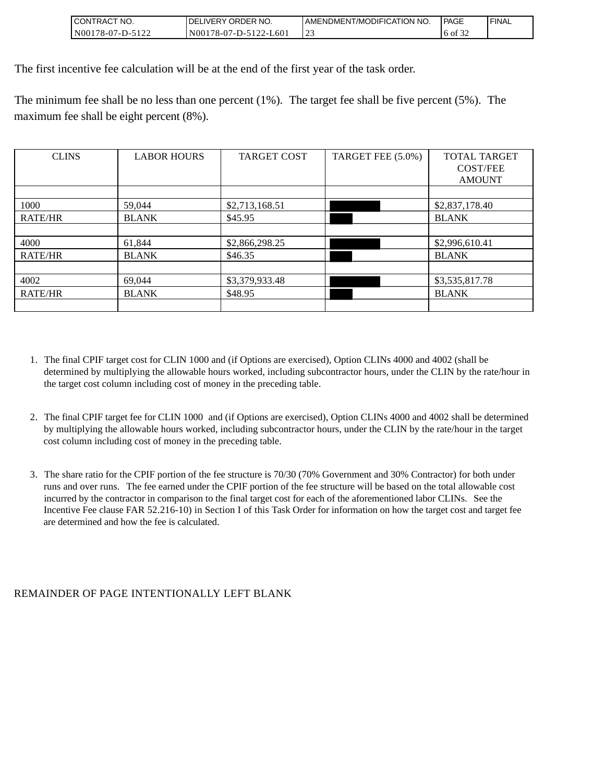| I CONTRACT NO.   | I DELIVERY ORDER NO.  | I AMENDMENT/MODIFICATION NO. | <b>I PAGE</b>            | ' FINAL |
|------------------|-----------------------|------------------------------|--------------------------|---------|
| N00178-07-D-5122 | N00178-07-D-5122-L601 | <u>_</u>                     | $\mathcal{L}$<br>6 of 32 |         |

The first incentive fee calculation will be at the end of the first year of the task order.

The minimum fee shall be no less than one percent (1%). The target fee shall be five percent (5%). The maximum fee shall be eight percent (8%).

| <b>CLINS</b>   | <b>LABOR HOURS</b> | <b>TARGET COST</b> | TARGET FEE (5.0%) | <b>TOTAL TARGET</b> |
|----------------|--------------------|--------------------|-------------------|---------------------|
|                |                    |                    |                   | <b>COST/FEE</b>     |
|                |                    |                    |                   | <b>AMOUNT</b>       |
|                |                    |                    |                   |                     |
| 1000           | 59,044             | \$2,713,168.51     |                   | \$2,837,178.40      |
| <b>RATE/HR</b> | <b>BLANK</b>       | \$45.95            |                   | <b>BLANK</b>        |
|                |                    |                    |                   |                     |
| 4000           | 61,844             | \$2,866,298.25     |                   | \$2,996,610.41      |
| <b>RATE/HR</b> | <b>BLANK</b>       | \$46.35            |                   | <b>BLANK</b>        |
|                |                    |                    |                   |                     |
| 4002           | 69,044             | \$3,379,933.48     |                   | \$3,535,817.78      |
| <b>RATE/HR</b> | <b>BLANK</b>       | \$48.95            |                   | <b>BLANK</b>        |
|                |                    |                    |                   |                     |

- 1. The final CPIF target cost for CLIN 1000 and (if Options are exercised), Option CLINs 4000 and 4002 (shall be determined by multiplying the allowable hours worked, including subcontractor hours, under the CLIN by the rate/hour in the target cost column including cost of money in the preceding table.
- 2. The final CPIF target fee for CLIN 1000 and (if Options are exercised), Option CLINs 4000 and 4002 shall be determined by multiplying the allowable hours worked, including subcontractor hours, under the CLIN by the rate/hour in the target cost column including cost of money in the preceding table.
- 3. The share ratio for the CPIF portion of the fee structure is 70/30 (70% Government and 30% Contractor) for both under runs and over runs. The fee earned under the CPIF portion of the fee structure will be based on the total allowable cost incurred by the contractor in comparison to the final target cost for each of the aforementioned labor CLINs. See the Incentive Fee clause FAR 52.216-10) in Section I of this Task Order for information on how the target cost and target fee are determined and how the fee is calculated.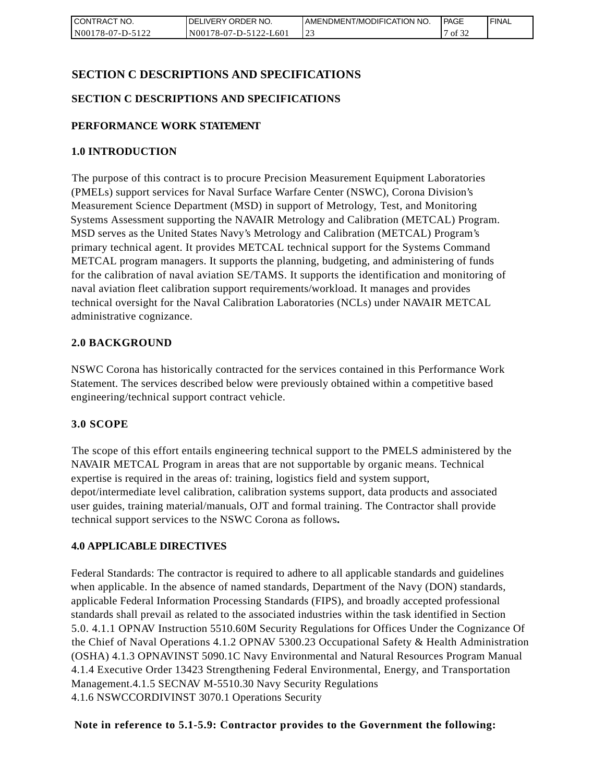| I CONTRACT NO.   | DELIVERY ORDER NO.    | AMENDMENT/MODIFICATION NO. | <b>PAGE</b>         | 'FINAL |
|------------------|-----------------------|----------------------------|---------------------|--------|
| N00178-07-D-5122 | N00178-07-D-5122-L601 |                            | $\mathcal{L}$<br>0t |        |

## **SECTION C DESCRIPTIONS AND SPECIFICATIONS**

#### **SECTION C DESCRIPTIONS AND SPECIFICATIONS**

#### **PERFORMANCE WORK STATEMENT**

#### **1.0 INTRODUCTION**

The purpose of this contract is to procure Precision Measurement Equipment Laboratories (PMELs) support services for Naval Surface Warfare Center (NSWC), Corona Division's Measurement Science Department (MSD) in support of Metrology, Test, and Monitoring Systems Assessment supporting the NAVAIR Metrology and Calibration (METCAL) Program. MSD serves as the United States Navy's Metrology and Calibration (METCAL) Program's primary technical agent. It provides METCAL technical support for the Systems Command METCAL program managers. It supports the planning, budgeting, and administering of funds for the calibration of naval aviation SE/TAMS. It supports the identification and monitoring of naval aviation fleet calibration support requirements/workload. It manages and provides technical oversight for the Naval Calibration Laboratories (NCLs) under NAVAIR METCAL administrative cognizance. **EXERCIST CONTRACT NOTE IN THE CONTRACT CONTRACT IN THE CONTRACT NOTE (NOTE)**<br> **NOTE/ACTION C DESCRIPTIONS AND SPECIFICATIONS**<br> **SECTION C DESCRIPTIONS AND SPECIFICATIONS**<br>
SECTION C DESCRIPTIONS AND SPECIFICATIONS<br> **EXECU** 

#### **2.0 BACKGROUND**

NSWC Corona has historically contracted for the services contained in this Performance Work Statement. The services described below were previously obtained within a competitive based engineering/technical support contract vehicle.

#### **3.0 SCOPE**

The scope of this effort entails engineering technical support to the PMELS administered by the NAVAIR METCAL Program in areas that are not supportable by organic means. Technical expertise is required in the areas of: training, logistics field and system support, depot/intermediate level calibration, calibration systems support, data products and associated user guides, training material/manuals, OJT and formal training. The Contractor shall provide technical support services to the NSWC Corona as follows**.**

#### **4.0 APPLICABLE DIRECTIVES**

Federal Standards: The contractor is required to adhere to all applicable standards and guidelines when applicable. In the absence of named standards, Department of the Navy (DON) standards, applicable Federal Information Processing Standards (FIPS), and broadly accepted professional standards shall prevail as related to the associated industries within the task identified in Section 5.0. 4.1.1 OPNAV Instruction 5510.60M Security Regulations for Offices Under the Cognizance Of the Chief of Naval Operations 4.1.2 OPNAV 5300.23 Occupational Safety & Health Administration (OSHA) 4.1.3 OPNAVINST 5090.1C Navy Environmental and Natural Resources Program Manual 4.1.4 Executive Order 13423 Strengthening Federal Environmental, Energy, and Transportation Management.4.1.5 SECNAV M-5510.30 Navy Security Regulations 4.1.6 NSWCCORDIVINST 3070.1 Operations Security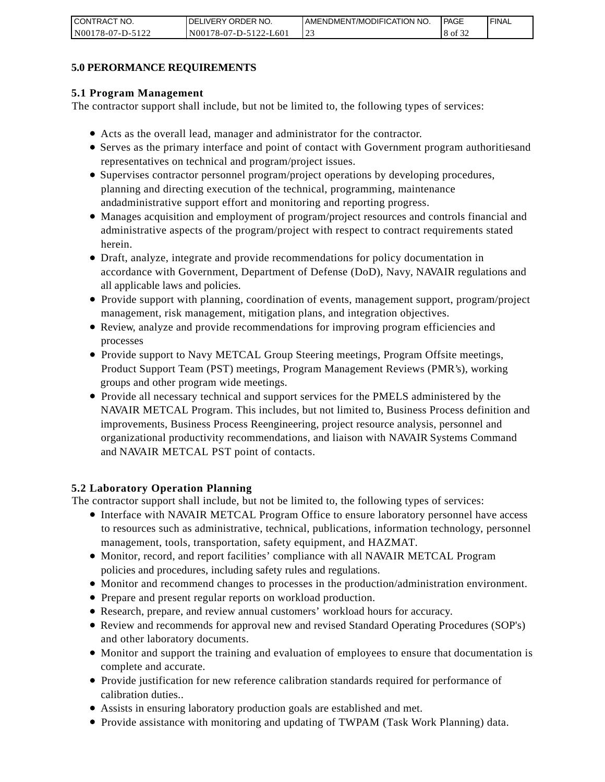| CONTRACT NO.     | <b>IDELIVERY ORDER NO.</b> | AMENDMENT/MODIFICATION NO. | PAGE         | ' FINAL |
|------------------|----------------------------|----------------------------|--------------|---------|
| N00178-07-D-5122 | N00178-07-D-5122-L601      |                            | $\int$ of 32 |         |

#### **5.0 PERORMANCE REQUIREMENTS**

#### **5.1 Program Management**

The contractor support shall include, but not be limited to, the following types of services:

- Acts as the overall lead, manager and administrator for the contractor.
- Serves as the primary interface and point of contact with Government program authoritiesand representatives on technical and program/project issues.
- Supervises contractor personnel program/project operations by developing procedures, planning and directing execution of the technical, programming, maintenance andadministrative support effort and monitoring and reporting progress.
- Manages acquisition and employment of program/project resources and controls financial and administrative aspects of the program/project with respect to contract requirements stated herein.
- Draft, analyze, integrate and provide recommendations for policy documentation in accordance with Government, Department of Defense (DoD), Navy, NAVAIR regulations and all applicable laws and policies.
- Provide support with planning, coordination of events, management support, program/project management, risk management, mitigation plans, and integration objectives.
- Review, analyze and provide recommendations for improving program efficiencies and processes
- Provide support to Navy METCAL Group Steering meetings, Program Offsite meetings, Product Support Team (PST) meetings, Program Management Reviews (PMR's), working groups and other program wide meetings.
- Provide all necessary technical and support services for the PMELS administered by the NAVAIR METCAL Program. This includes, but not limited to, Business Process definition and improvements, Business Process Reengineering, project resource analysis, personnel and organizational productivity recommendations, and liaison with NAVAIR Systems Command and NAVAIR METCAL PST point of contacts. ESTANDA (THE STANDA (THE STANDA (THE STANDA) (SOMETHING) (SOMETHING) data.<br>
The contrast of the system of the system of TWPAM (Task Work Planning) data.<br>
The contrast with monitoring and updating of TWPAM (Task Work Planni

#### **5.2 Laboratory Operation Planning**

The contractor support shall include, but not be limited to, the following types of services:

- Interface with NAVAIR METCAL Program Office to ensure laboratory personnel have access to resources such as administrative, technical, publications, information technology, personnel management, tools, transportation, safety equipment, and HAZMAT.
- Monitor, record, and report facilities' compliance with all NAVAIR METCAL Program policies and procedures, including safety rules and regulations.
- Monitor and recommend changes to processes in the production/administration environment.
- Prepare and present regular reports on workload production.
- Research, prepare, and review annual customers' workload hours for accuracy.
- Review and recommends for approval new and revised Standard Operating Procedures (SOP's) and other laboratory documents.
- Monitor and support the training and evaluation of employees to ensure that documentation is complete and accurate.
- Provide justification for new reference calibration standards required for performance of calibration duties..
- Assists in ensuring laboratory production goals are established and met.
-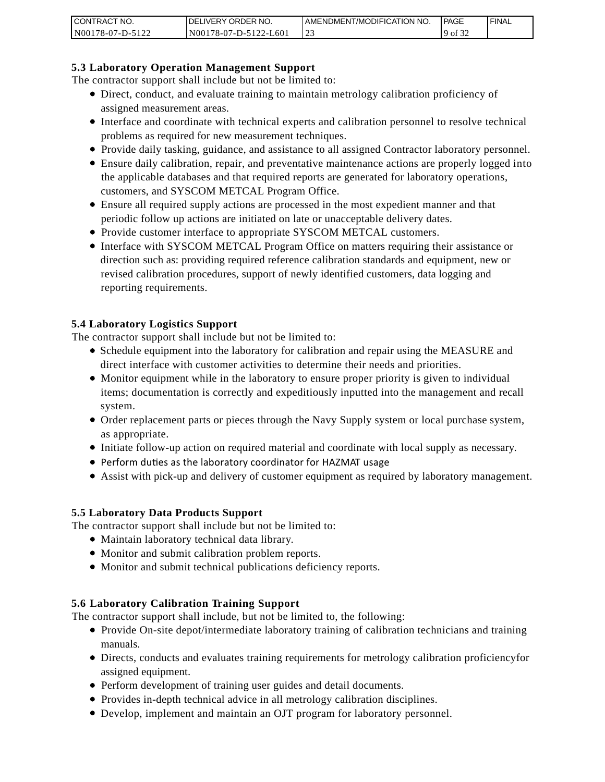| I CONTRACT NO.   | <b>IDELIVERY ORDER NO.</b>    | AMENDMENT/MODIFICATION NO. | PAGE         | 'FINAL |
|------------------|-------------------------------|----------------------------|--------------|--------|
| N00178-07-D-5122 | $178-07-D-5122-L601$<br>N0017 |                            | $19$ of $32$ |        |

#### **5.3 Laboratory Operation Management Support**

The contractor support shall include but not be limited to:

- Direct, conduct, and evaluate training to maintain metrology calibration proficiency of assigned measurement areas.
- Interface and coordinate with technical experts and calibration personnel to resolve technical problems as required for new measurement techniques.
- Provide daily tasking, guidance, and assistance to all assigned Contractor laboratory personnel.
- Ensure daily calibration, repair, and preventative maintenance actions are properly logged into the applicable databases and that required reports are generated for laboratory operations, customers, and SYSCOM METCAL Program Office.
- Ensure all required supply actions are processed in the most expedient manner and that periodic follow up actions are initiated on late or unacceptable delivery dates.
- Provide customer interface to appropriate SYSCOM METCAL customers.
- Interface with SYSCOM METCAL Program Office on matters requiring their assistance or direction such as: providing required reference calibration standards and equipment, new or revised calibration procedures, support of newly identified customers, data logging and reporting requirements.

#### **5.4 Laboratory Logistics Support**

The contractor support shall include but not be limited to:

- Schedule equipment into the laboratory for calibration and repair using the MEASURE and direct interface with customer activities to determine their needs and priorities.
- Monitor equipment while in the laboratory to ensure proper priority is given to individual items; documentation is correctly and expeditiously inputted into the management and recall system.
- Order replacement parts or pieces through the Navy Supply system or local purchase system, as appropriate.
- Initiate follow-up action on required material and coordinate with local supply as necessary.
- Perform duties as the laboratory coordinator for HAZMAT usage
- Assist with pick-up and delivery of customer equipment as required by laboratory management.

#### **5.5 Laboratory Data Products Support**

The contractor support shall include but not be limited to:

- Maintain laboratory technical data library.
- Monitor and submit calibration problem reports.
- Monitor and submit technical publications deficiency reports.

#### **5.6 Laboratory Calibration Training Support**

The contractor support shall include, but not be limited to, the following:

- Provide On-site depot/intermediate laboratory training of calibration technicians and training manuals.
- Directs, conducts and evaluates training requirements for metrology calibration proficiencyfor assigned equipment.
- Perform development of training user guides and detail documents.
- Provides in-depth technical advice in all metrology calibration disciplines.
- Develop, implement and maintain an OJT program for laboratory personnel.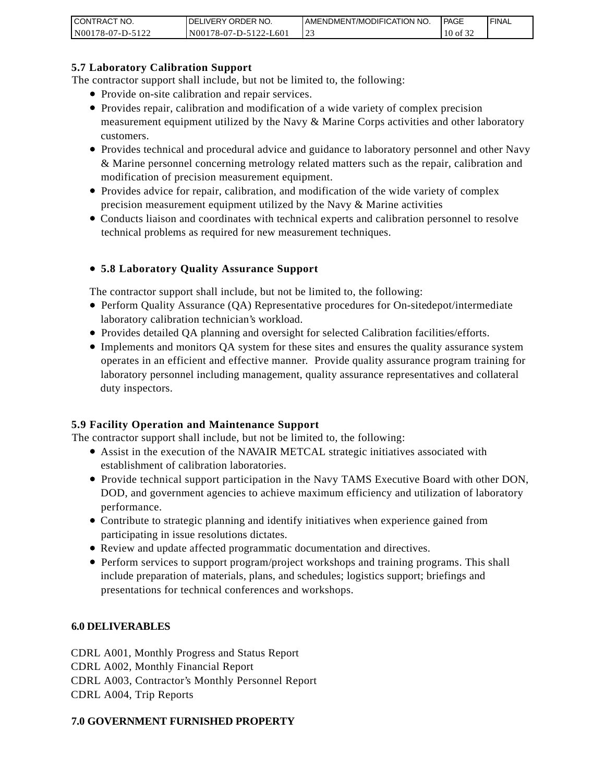| <b>CONTRACT</b><br>CT NO. | `NO.<br>' ORDER<br><b>DELIVERY</b>        | AMENDMENT/MODIFICATION NO. | l PAGE | ' FINAL |
|---------------------------|-------------------------------------------|----------------------------|--------|---------|
| N001<br>*78-07-D-J        | N001<br>L60<br>$78-07-D-512$ .<br>$7 - 1$ | ر _                        | 10 of  |         |

#### **5.7 Laboratory Calibration Support**

The contractor support shall include, but not be limited to, the following:

- Provide on-site calibration and repair services.
- Provides repair, calibration and modification of a wide variety of complex precision measurement equipment utilized by the Navy & Marine Corps activities and other laboratory customers.
- Provides technical and procedural advice and guidance to laboratory personnel and other Navy & Marine personnel concerning metrology related matters such as the repair, calibration and modification of precision measurement equipment.
- Provides advice for repair, calibration, and modification of the wide variety of complex precision measurement equipment utilized by the Navy & Marine activities
- Conducts liaison and coordinates with technical experts and calibration personnel to resolve technical problems as required for new measurement techniques.

## **5.8 Laboratory Quality Assurance Support**

The contractor support shall include, but not be limited to, the following:

- Perform Quality Assurance (QA) Representative procedures for On-sitedepot/intermediate laboratory calibration technician's workload.
- Provides detailed QA planning and oversight for selected Calibration facilities/efforts.
- Implements and monitors QA system for these sites and ensures the quality assurance system operates in an efficient and effective manner. Provide quality assurance program training for laboratory personnel including management, quality assurance representatives and collateral duty inspectors.

#### **5.9 Facility Operation and Maintenance Support**

The contractor support shall include, but not be limited to, the following:

- Assist in the execution of the NAVAIR METCAL strategic initiatives associated with establishment of calibration laboratories.
- Provide technical support participation in the Navy TAMS Executive Board with other DON, DOD, and government agencies to achieve maximum efficiency and utilization of laboratory performance.
- Contribute to strategic planning and identify initiatives when experience gained from participating in issue resolutions dictates.
- Review and update affected programmatic documentation and directives.
- Perform services to support program/project workshops and training programs. This shall include preparation of materials, plans, and schedules; logistics support; briefings and presentations for technical conferences and workshops.

#### **6.0 DELIVERABLES**

CDRL A001, Monthly Progress and Status Report CDRL A002, Monthly Financial Report CDRL A003, Contractor's Monthly Personnel Report CDRL A004, Trip Reports CONTRACT NO.<br> **7.0 GEV/FRV (2006)**<br> **7.0 GEV/FRV Calibration Support**<br> **7.6.7 Laboratory Calibration Support**<br> **The contractor support shall include, but not be later the contractor support shall include, but not be later**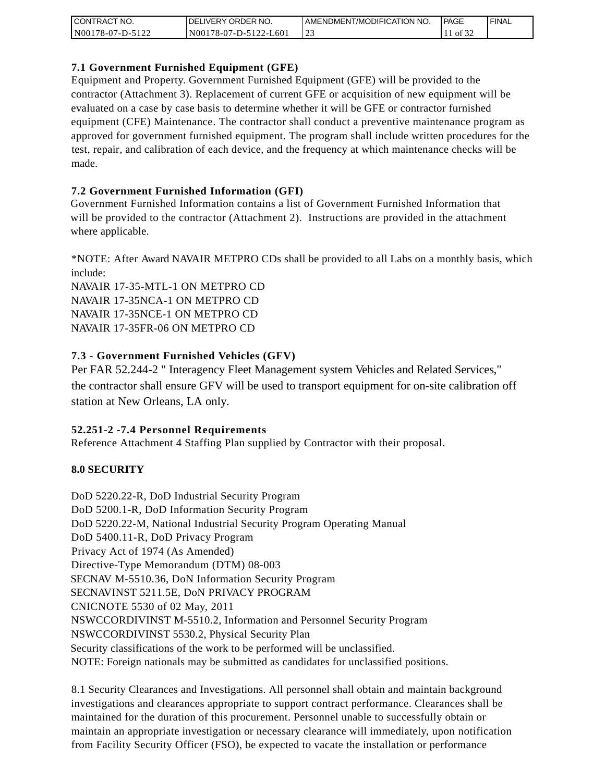| I CONTRACT NO.   | <b>IDELIVERY ORDER NO.</b>    | I AMENDMENT/MODIFICATION NO. | PAGE | ' FINAL |
|------------------|-------------------------------|------------------------------|------|---------|
| N00178-07-D-5122 | 78-07-D-5122-L601<br>$N001$ , | <u>.</u>                     | ΟĪ   |         |

## **7.1 Government Furnished Equipment (GFE)**

Equipment and Property. Government Furnished Equipment (GFE) will be provided to the contractor (Attachment 3). Replacement of current GFE or acquisition of new equipment will be evaluated on a case by case basis to determine whether it will be GFE or contractor furnished equipment (CFE) Maintenance. The contractor shall conduct a preventive maintenance program as approved for government furnished equipment. The program shall include written procedures for the test, repair, and calibration of each device, and the frequency at which maintenance checks will be made.

## **7.2 Government Furnished Information (GFI)**

Government Furnished Information contains a list of Government Furnished Information that will be provided to the contractor (Attachment 2). Instructions are provided in the attachment where applicable.

\*NOTE: After Award NAVAIR METPRO CDs shall be provided to all Labs on a monthly basis, which include:

NAVAIR 17-35-MTL-1 ON METPRO CD NAVAIR 17-35NCA-1 ON METPRO CD NAVAIR 17-35NCE-1 ON METPRO CD NAVAIR 17-35FR-06 ON METPRO CD

## **7.3 - Government Furnished Vehicles (GFV)**

Per FAR 52.244-2 " Interagency Fleet Management system Vehicles and Related Services," the contractor shall ensure GFV will be used to transport equipment for on-site calibration off station at New Orleans, LA only.

#### **52.251-2 -7.4 Personnel Requirements**

Reference Attachment 4 Staffing Plan supplied by Contractor with their proposal.

## **8.0 SECURITY**

DoD 5220.22-R, DoD Industrial Security Program DoD 5200.1-R, DoD Information Security Program DoD 5220.22-M, National Industrial Security Program Operating Manual DoD 5400.11-R, DoD Privacy Program Privacy Act of 1974 (As Amended) Directive-Type Memorandum (DTM) 08-003 SECNAV M-5510.36, DoN Information Security Program SECNAVINST 5211.5E, DoN PRIVACY PROGRAM CNICNOTE 5530 of 02 May, 2011 NSWCCORDIVINST M-5510.2, Information and Personnel Security Program NSWCCORDIVINST 5530.2, Physical Security Plan Security classifications of the work to be performed will be unclassified. NOTE: Foreign nationals may be submitted as candidates for unclassified positions.

8.1 Security Clearances and Investigations. All personnel shall obtain and maintain background investigations and clearances appropriate to support contract performance. Clearances shall be maintained for the duration of this procurement. Personnel unable to successfully obtain or maintain an appropriate investigation or necessary clearance will immediately, upon notification from Facility Security Officer (FSO), be expected to vacate the installation or performance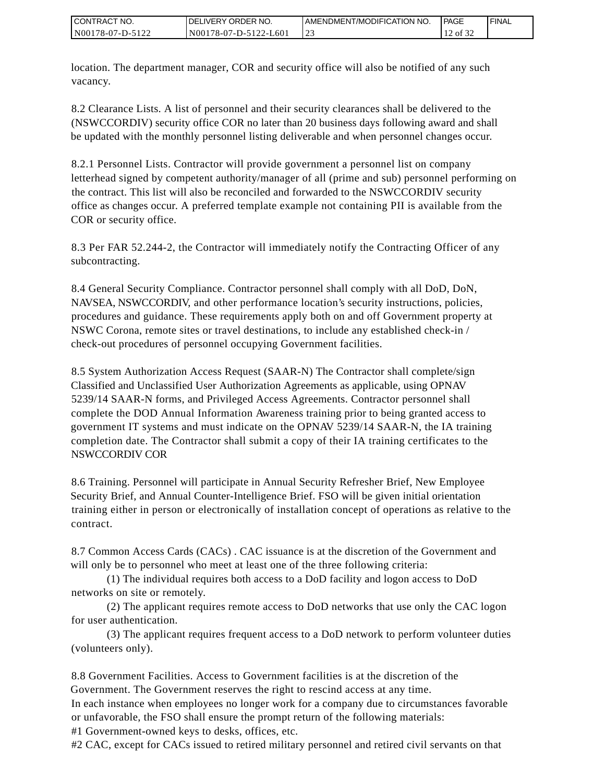| I CONTRACT NO.   | <b>IDELIVERY ORDER NO.</b> | AMENDMENT/MODIFICATION NO. | PAGE | ' FINAL |
|------------------|----------------------------|----------------------------|------|---------|
| N00178-07-D-5122 | N00178-07-D-5122-L601      |                            | ΟĪ   |         |

location. The department manager, COR and security office will also be notified of any such vacancy.

8.2 Clearance Lists. A list of personnel and their security clearances shall be delivered to the (NSWCCORDIV) security office COR no later than 20 business days following award and shall be updated with the monthly personnel listing deliverable and when personnel changes occur.

8.2.1 Personnel Lists. Contractor will provide government a personnel list on company letterhead signed by competent authority/manager of all (prime and sub) personnel performing on the contract. This list will also be reconciled and forwarded to the NSWCCORDIV security office as changes occur. A preferred template example not containing PII is available from the COR or security office.

8.3 Per FAR 52.244-2, the Contractor will immediately notify the Contracting Officer of any subcontracting.

8.4 General Security Compliance. Contractor personnel shall comply with all DoD, DoN, NAVSEA, NSWCCORDIV, and other performance location's security instructions, policies, procedures and guidance. These requirements apply both on and off Government property at NSWC Corona, remote sites or travel destinations, to include any established check-in / check-out procedures of personnel occupying Government facilities.

8.5 System Authorization Access Request (SAAR-N) The Contractor shall complete/sign Classified and Unclassified User Authorization Agreements as applicable, using OPNAV 5239/14 SAAR-N forms, and Privileged Access Agreements. Contractor personnel shall complete the DOD Annual Information Awareness training prior to being granted access to government IT systems and must indicate on the OPNAV 5239/14 SAAR-N, the IA training completion date. The Contractor shall submit a copy of their IA training certificates to the NSWCCORDIV COR

8.6 Training. Personnel will participate in Annual Security Refresher Brief, New Employee Security Brief, and Annual Counter-Intelligence Brief. FSO will be given initial orientation training either in person or electronically of installation concept of operations as relative to the contract.

8.7 Common Access Cards (CACs) . CAC issuance is at the discretion of the Government and will only be to personnel who meet at least one of the three following criteria:

(1) The individual requires both access to a DoD facility and logon access to DoD networks on site or remotely.

(2) The applicant requires remote access to DoD networks that use only the CAC logon for user authentication.

(3) The applicant requires frequent access to a DoD network to perform volunteer duties (volunteers only).

8.8 Government Facilities. Access to Government facilities is at the discretion of the Government. The Government reserves the right to rescind access at any time.

In each instance when employees no longer work for a company due to circumstances favorable or unfavorable, the FSO shall ensure the prompt return of the following materials:

#1 Government-owned keys to desks, offices, etc.

#2 CAC, except for CACs issued to retired military personnel and retired civil servants on that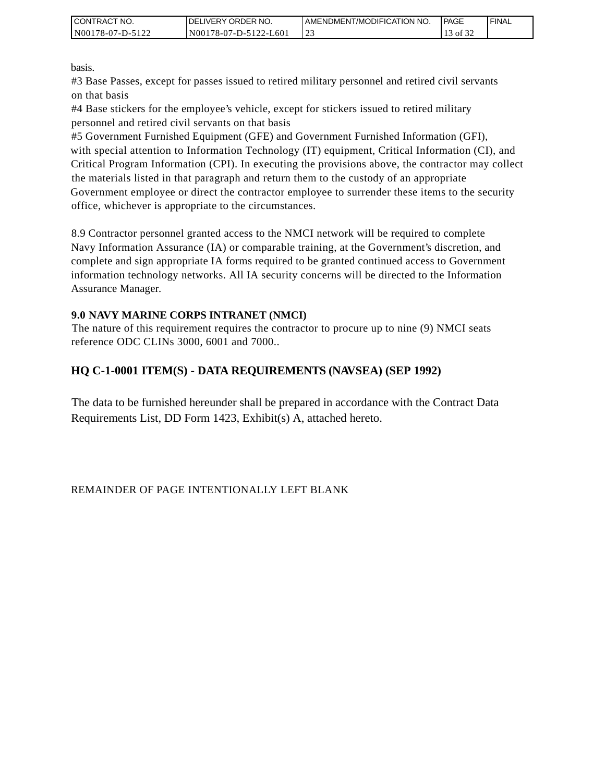| I CONTRACT NO.   | <b>IDELIVERY ORDER NO.</b> | AMENDMENT/MODIFICATION NO. | PAGE  | ' FINAL |
|------------------|----------------------------|----------------------------|-------|---------|
| N00178-07-D-5122 | N00178-07-D-5122-L601      | 123                        | of 32 |         |

basis.

#3 Base Passes, except for passes issued to retired military personnel and retired civil servants on that basis

#4 Base stickers for the employee's vehicle, except for stickers issued to retired military personnel and retired civil servants on that basis

#5 Government Furnished Equipment (GFE) and Government Furnished Information (GFI), with special attention to Information Technology (IT) equipment, Critical Information (CI), and Critical Program Information (CPI). In executing the provisions above, the contractor may collect the materials listed in that paragraph and return them to the custody of an appropriate Government employee or direct the contractor employee to surrender these items to the security office, whichever is appropriate to the circumstances.

8.9 Contractor personnel granted access to the NMCI network will be required to complete Navy Information Assurance (IA) or comparable training, at the Government's discretion, and complete and sign appropriate IA forms required to be granted continued access to Government information technology networks. All IA security concerns will be directed to the Information Assurance Manager.

#### **9.0 NAVY MARINE CORPS INTRANET (NMCI)**

The nature of this requirement requires the contractor to procure up to nine (9) NMCI seats reference ODC CLINs 3000, 6001 and 7000..

## **HQ C-1-0001 ITEM(S) - DATA REQUIREMENTS (NAVSEA) (SEP 1992)**

The data to be furnished hereunder shall be prepared in accordance with the Contract Data Requirements List, DD Form 1423, Exhibit(s) A, attached hereto.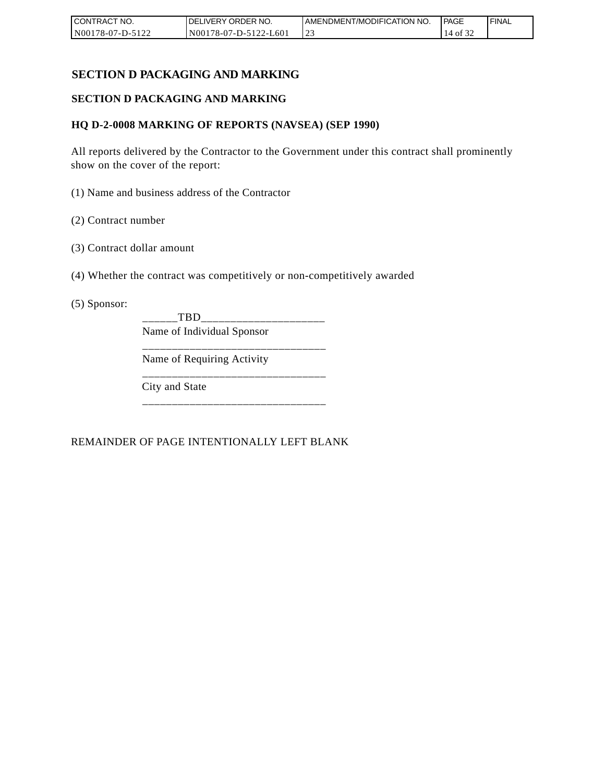| CONTRACT NO.     | I DELIVERY ORDER NO.  | AMENDMENT/MODIFICATION NO. | <b>IPAGE</b> | ' FINAL |
|------------------|-----------------------|----------------------------|--------------|---------|
| N00178-07-D-5122 | N00178-07-D-5122-L601 | ر_ ب                       | ΟĪ<br>14     |         |

## **SECTION D PACKAGING AND MARKING**

#### **SECTION D PACKAGING AND MARKING**

#### **HQ D-2-0008 MARKING OF REPORTS (NAVSEA) (SEP 1990)**

All reports delivered by the Contractor to the Government under this contract shall prominently show on the cover of the report:

(1) Name and business address of the Contractor

- (2) Contract number
- (3) Contract dollar amount
- (4) Whether the contract was competitively or non-competitively awarded

(5) Sponsor:

\_\_\_\_\_\_TBD\_\_\_\_\_\_\_\_\_\_\_\_\_\_\_\_\_\_\_\_\_ Name of Individual Sponsor

\_\_\_\_\_\_\_\_\_\_\_\_\_\_\_\_\_\_\_\_\_\_\_\_\_\_\_\_\_\_\_

\_\_\_\_\_\_\_\_\_\_\_\_\_\_\_\_\_\_\_\_\_\_\_\_\_\_\_\_\_\_\_

\_\_\_\_\_\_\_\_\_\_\_\_\_\_\_\_\_\_\_\_\_\_\_\_\_\_\_\_\_\_\_

Name of Requiring Activity

City and State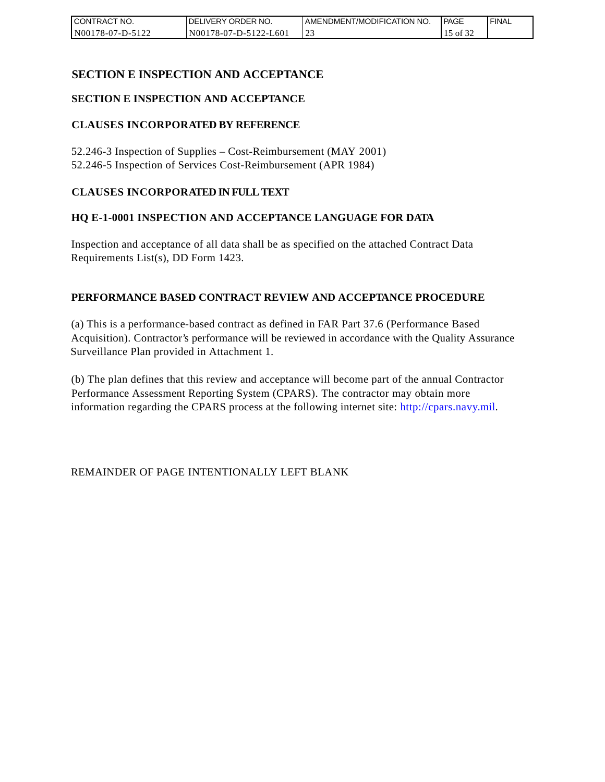| CONTRACT NO.     | DELIVERY ORDER NO.    | AMENDMENT/MODIFICATION NO. | PAGE | 'FINAL |
|------------------|-----------------------|----------------------------|------|--------|
| N00178-07-D-5122 | N00178-07-D-5122-L601 |                            | οt   |        |

## **SECTION E INSPECTION AND ACCEPTANCE**

#### **SECTION E INSPECTION AND ACCEPTANCE**

#### **CLAUSES INCORPORATED BY REFERENCE**

52.246-3 Inspection of Supplies – Cost-Reimbursement (MAY 2001) 52.246-5 Inspection of Services Cost-Reimbursement (APR 1984)

#### **CLAUSES INCORPORATED IN FULL TEXT**

#### **HQ E-1-0001 INSPECTION AND ACCEPTANCE LANGUAGE FOR DATA**

Inspection and acceptance of all data shall be as specified on the attached Contract Data Requirements List(s), DD Form 1423.

#### **PERFORMANCE BASED CONTRACT REVIEW AND ACCEPTANCE PROCEDURE**

(a) This is a performance-based contract as defined in FAR Part 37.6 (Performance Based Acquisition). Contractor's performance will be reviewed in accordance with the Quality Assurance Surveillance Plan provided in Attachment 1.

(b) The plan defines that this review and acceptance will become part of the annual Contractor Performance Assessment Reporting System (CPARS). The contractor may obtain more information regarding the CPARS process at the following internet site: http://cpars.navy.mil.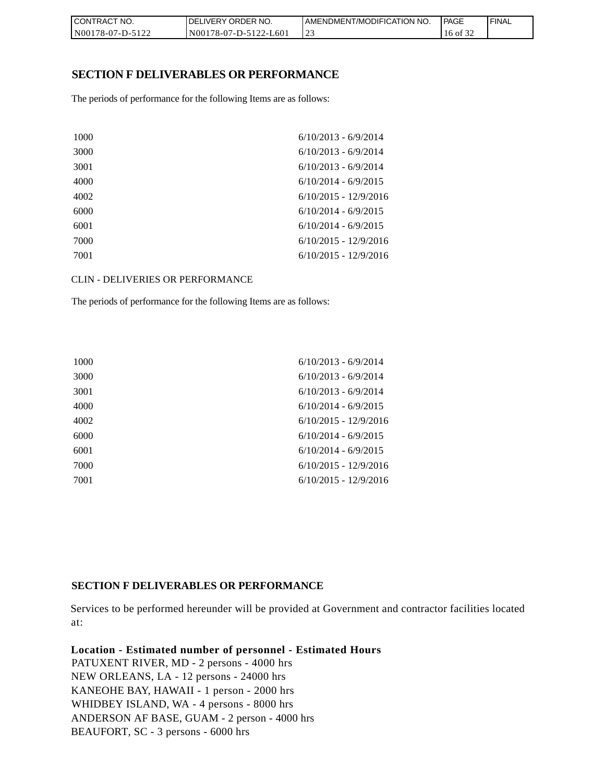| CONTRACT NO.     | <b>IDELIVERY ORDER NO.</b> | AMENDMENT/MODIFICATION NO. | l PAGE      | 'FINAL |
|------------------|----------------------------|----------------------------|-------------|--------|
| N00178-07-D-5122 | N00178-07-D-5122-L601      |                            | of 32<br>16 |        |

#### **SECTION F DELIVERABLES OR PERFORMANCE**

The periods of performance for the following Items are as follows:

| 1000 | $6/10/2013 - 6/9/2014$  |
|------|-------------------------|
| 3000 | $6/10/2013 - 6/9/2014$  |
| 3001 | $6/10/2013 - 6/9/2014$  |
| 4000 | $6/10/2014 - 6/9/2015$  |
| 4002 | $6/10/2015 - 12/9/2016$ |
| 6000 | $6/10/2014 - 6/9/2015$  |
| 6001 | $6/10/2014 - 6/9/2015$  |
| 7000 | $6/10/2015 - 12/9/2016$ |
| 7001 | $6/10/2015 - 12/9/2016$ |
|      |                         |

#### CLIN - DELIVERIES OR PERFORMANCE

The periods of performance for the following Items are as follows:

| 1000 | $6/10/2013 - 6/9/2014$  |
|------|-------------------------|
| 3000 | $6/10/2013 - 6/9/2014$  |
| 3001 | $6/10/2013 - 6/9/2014$  |
| 4000 | $6/10/2014 - 6/9/2015$  |
| 4002 | $6/10/2015 - 12/9/2016$ |
| 6000 | $6/10/2014 - 6/9/2015$  |
| 6001 | $6/10/2014 - 6/9/2015$  |
| 7000 | $6/10/2015 - 12/9/2016$ |
| 7001 | $6/10/2015 - 12/9/2016$ |
|      |                         |

#### **SECTION F DELIVERABLES OR PERFORMANCE**

Services to be performed hereunder will be provided at Government and contractor facilities located at:

**Location - Estimated number of personnel - Estimated Hours** PATUXENT RIVER, MD - 2 persons - 4000 hrs NEW ORLEANS, LA - 12 persons - 24000 hrs KANEOHE BAY, HAWAII - 1 person - 2000 hrs WHIDBEY ISLAND, WA - 4 persons - 8000 hrs ANDERSON AF BASE, GUAM - 2 person - 4000 hrs BEAUFORT, SC - 3 persons - 6000 hrs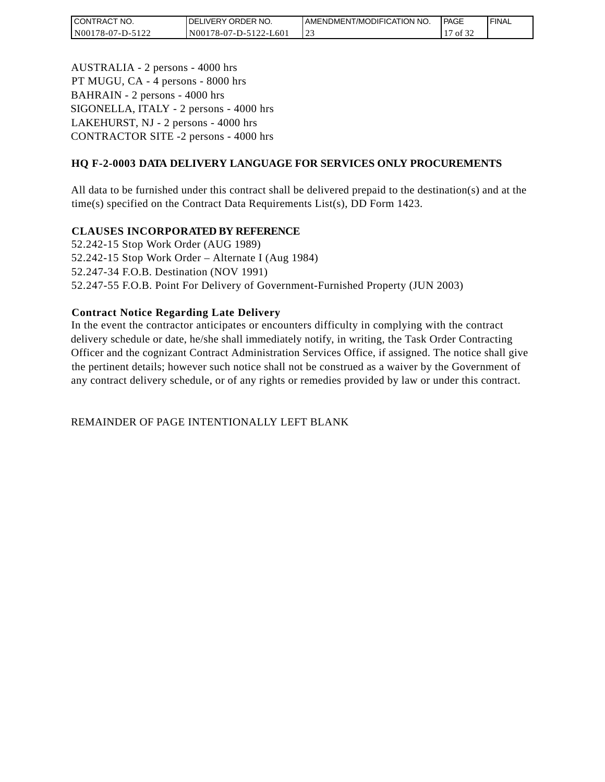| CT NO.<br>I CONTRACT | <b>IDELIVERY ORDER NO.</b> | I AMENDMENT/MODIFICATION NO. | <b>PAGE</b> | ' FINAL |
|----------------------|----------------------------|------------------------------|-------------|---------|
| N00178-07-D-5122     | N001<br>78-07-D-5122-L601  | <u>.</u>                     | οt          |         |

AUSTRALIA - 2 persons - 4000 hrs PT MUGU, CA - 4 persons - 8000 hrs BAHRAIN - 2 persons - 4000 hrs SIGONELLA, ITALY - 2 persons - 4000 hrs LAKEHURST, NJ - 2 persons - 4000 hrs CONTRACTOR SITE -2 persons - 4000 hrs

## **HQ F-2-0003 DATA DELIVERY LANGUAGE FOR SERVICES ONLY PROCUREMENTS**

All data to be furnished under this contract shall be delivered prepaid to the destination(s) and at the time(s) specified on the Contract Data Requirements List(s), DD Form 1423.

#### **CLAUSES INCORPORATED BY REFERENCE**

52.242-15 Stop Work Order (AUG 1989) 52.242-15 Stop Work Order – Alternate I (Aug 1984) 52.247-34 F.O.B. Destination (NOV 1991) 52.247-55 F.O.B. Point For Delivery of Government-Furnished Property (JUN 2003)

#### **Contract Notice Regarding Late Delivery**

In the event the contractor anticipates or encounters difficulty in complying with the contract delivery schedule or date, he/she shall immediately notify, in writing, the Task Order Contracting Officer and the cognizant Contract Administration Services Office, if assigned. The notice shall give the pertinent details; however such notice shall not be construed as a waiver by the Government of any contract delivery schedule, or of any rights or remedies provided by law or under this contract.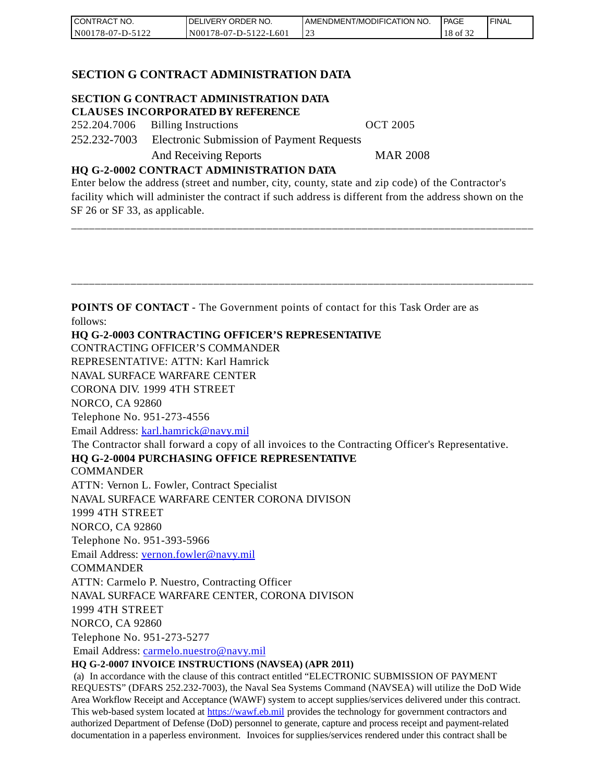| CONTRACT NO.     | DELIVERY ORDER NO.    | AMENDMENT/MODIFICATION NO. | PAGE  | ' FINAL |
|------------------|-----------------------|----------------------------|-------|---------|
| N00178-07-D-5122 | N00178-07-D-5122-L601 |                            | 18 of |         |

#### **SECTION G CONTRACT ADMINISTRATION DATA**

# **SECTION G CONTRACT ADMINISTRATION DATA**

**CLAUSES INCORPORATED BY REFERENCE** 252.204.7006 Billing Instructions OCT 2005

252.232-7003 Electronic Submission of Payment Requests

And Receiving Reports MAR 2008

#### **HQ G-2-0002 CONTRACT ADMINISTRATION DATA**

Enter below the address (street and number, city, county, state and zip code) of the Contractor's facility which will administer the contract if such address is different from the address shown on the SF 26 or SF 33, as applicable.

\_\_\_\_\_\_\_\_\_\_\_\_\_\_\_\_\_\_\_\_\_\_\_\_\_\_\_\_\_\_\_\_\_\_\_\_\_\_\_\_\_\_\_\_\_\_\_\_\_\_\_\_\_\_\_\_\_\_\_\_\_\_\_\_\_\_\_\_\_\_\_\_\_\_\_\_\_\_

\_\_\_\_\_\_\_\_\_\_\_\_\_\_\_\_\_\_\_\_\_\_\_\_\_\_\_\_\_\_\_\_\_\_\_\_\_\_\_\_\_\_\_\_\_\_\_\_\_\_\_\_\_\_\_\_\_\_\_\_\_\_\_\_\_\_\_\_\_\_\_\_\_\_\_\_\_\_ **POINTS OF CONTACT** - The Government points of contact for this Task Order are as follows: **HQ G-2-0003 CONTRACTING OFFICER'S REPRESENTATIVE** CONTRACTING OFFICER'S COMMANDER REPRESENTATIVE: ATTN: Karl Hamrick NAVAL SURFACE WARFARE CENTER CORONA DIV. 1999 4TH STREET NORCO, CA 92860 Telephone No. 951-273-4556 Email Address: [karl.hamrick@navy.mil](mailto:karl.hamrick@navy.mil) The Contractor shall forward a copy of all invoices to the Contracting Officer's Representative. **HQ G-2-0004 PURCHASING OFFICE REPRESENTATIVE COMMANDER** ATTN: Vernon L. Fowler, Contract Specialist NAVAL SURFACE WARFARE CENTER CORONA DIVISON 1999 4TH STREET NORCO, CA 92860 Telephone No. 951-393-5966 Email Address: [vernon.fowler@navy.mil](mailto:vernon.fowler@navy.mil) **COMMANDER** ATTN: Carmelo P. Nuestro, Contracting Officer NAVAL SURFACE WARFARE CENTER, CORONA DIVISON 1999 4TH STREET NORCO, CA 92860 Telephone No. 951-273-5277 Email Address: [carmelo.nuestro@navy.mil](mailto:carmelo.nuestro@navy.mil) **HQ G-2-0007 INVOICE INSTRUCTIONS (NAVSEA) (APR 2011)** (a) In accordance with the clause of this contract entitled "ELECTRONIC SUBMISSION OF PAYMENT REQUESTS" (DFARS 252.232-7003), the Naval Sea Systems Command (NAVSEA) will utilize the DoD Wide Area Workflow Receipt and Acceptance (WAWF) system to accept supplies/services delivered under this contract. This web-based system located at [https://wawf.eb.mil p](https://wawf.eb.mil/)rovides the technology for government contractors and authorized Department of Defense (DoD) personnel to generate, capture and process receipt and payment-related

documentation in a paperless environment. Invoices for supplies/services rendered under this contract shall be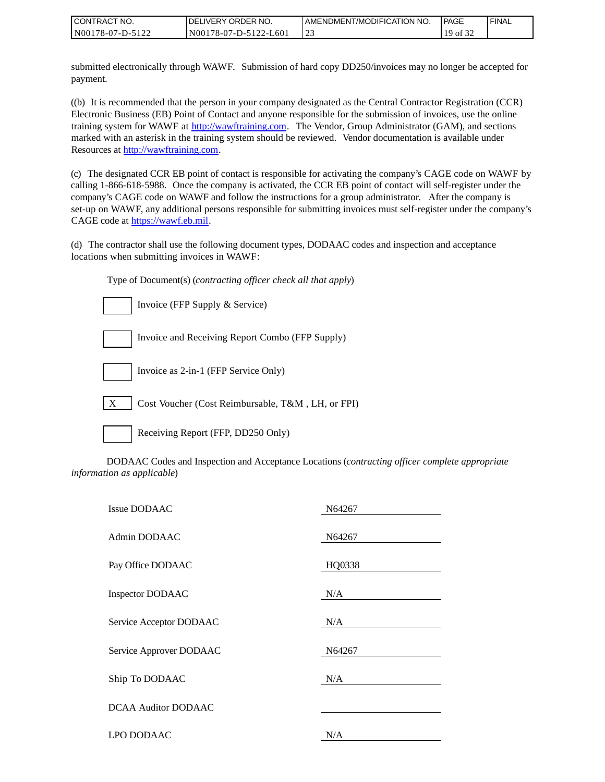| CONTRACT NO.     | <b>IDELIVERY ORDER NO.</b> | I AMENDMENT/MODIFICATION NO. | <b>PAGE</b> | <b>I FINAL</b> |
|------------------|----------------------------|------------------------------|-------------|----------------|
| N00178-07-D-5122 | N00178-07-D-5122-L601      | ت سے                         | 10<br>of 32 |                |

submitted electronically through WAWF. Submission of hard copy DD250/invoices may no longer be accepted for payment.

((b) It is recommended that the person in your company designated as the Central Contractor Registration (CCR) Electronic Business (EB) Point of Contact and anyone responsible for the submission of invoices, use the online training system for WAWF at [http://wawftraining.com.](http://wawftraining.com/) The Vendor, Group Administrator (GAM), and sections marked with an asterisk in the training system should be reviewed. Vendor documentation is available under Resources at [http://wawftraining.com.](http://wawftraining.com/)

(c) The designated CCR EB point of contact is responsible for activating the company's CAGE code on WAWF by calling 1-866-618-5988. Once the company is activated, the CCR EB point of contact will self-register under the company's CAGE code on WAWF and follow the instructions for a group administrator. After the company is set-up on WAWF, any additional persons responsible for submitting invoices must self-register under the company's CAGE code at [https://wawf.eb.mil.](https://wawf.eb.mil/)

(d) The contractor shall use the following document types, DODAAC codes and inspection and acceptance locations when submitting invoices in WAWF:

Type of Document(s) (*contracting officer check all that apply*)

|                  | Invoice (FFP Supply & Service)                    |
|------------------|---------------------------------------------------|
|                  | Invoice and Receiving Report Combo (FFP Supply)   |
|                  | Invoice as 2-in-1 (FFP Service Only)              |
| $\boldsymbol{X}$ | Cost Voucher (Cost Reimbursable, T&M, LH, or FPI) |

|--|

Ig Report (FFP, DD250 Only)

DODAAC Codes and Inspection and Acceptance Locations (*contracting officer complete appropriate information as applicable*)

| <b>Issue DODAAC</b>        | N64267 |
|----------------------------|--------|
| Admin DODAAC               | N64267 |
| Pay Office DODAAC          | HQ0338 |
| Inspector DODAAC           | N/A    |
| Service Acceptor DODAAC    | N/A    |
| Service Approver DODAAC    | N64267 |
| Ship To DODAAC             | N/A    |
| <b>DCAA Auditor DODAAC</b> |        |
| LPO DODAAC                 | N/A    |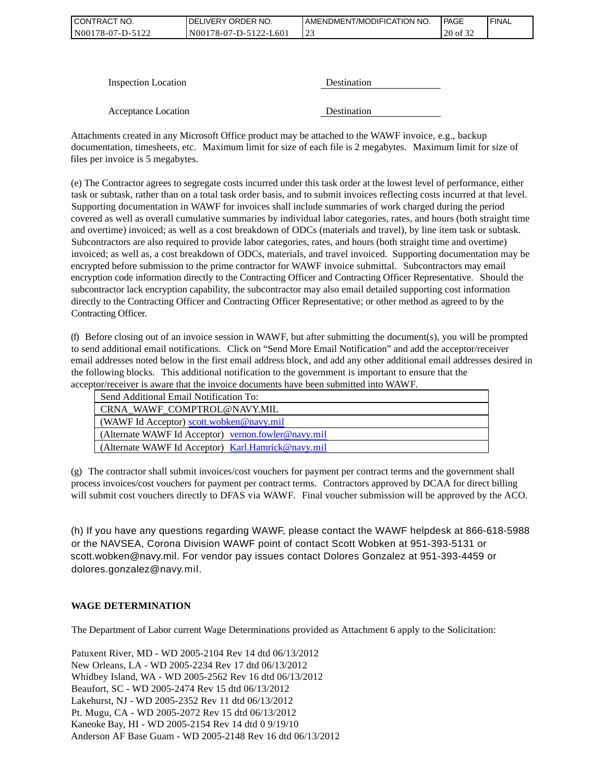| CONTRACT NO.     | DELIVERY ORDER NO.    | LAMENDMENT/MODIFICATION NO. | <b>PAGE</b>               | ' FINAL |
|------------------|-----------------------|-----------------------------|---------------------------|---------|
| N00178-07-D-5122 | N00178-07-D-5122-L601 | ت سے                        | $\sim$ $\sim$<br>20 of 32 |         |

| <b>Inspection Location</b> | Destination        |
|----------------------------|--------------------|
|                            |                    |
| Acceptance Location        | <b>Destination</b> |

Attachments created in any Microsoft Office product may be attached to the WAWF invoice, e.g., backup documentation, timesheets, etc. Maximum limit for size of each file is 2 megabytes. Maximum limit for size of files per invoice is 5 megabytes.

(e) The Contractor agrees to segregate costs incurred under this task order at the lowest level of performance, either task or subtask, rather than on a total task order basis, and to submit invoices reflecting costs incurred at that level. Supporting documentation in WAWF for invoices shall include summaries of work charged during the period covered as well as overall cumulative summaries by individual labor categories, rates, and hours (both straight time and overtime) invoiced; as well as a cost breakdown of ODCs (materials and travel), by line item task or subtask. Subcontractors are also required to provide labor categories, rates, and hours (both straight time and overtime) invoiced; as well as, a cost breakdown of ODCs, materials, and travel invoiced. Supporting documentation may be encrypted before submission to the prime contractor for WAWF invoice submittal. Subcontractors may email encryption code information directly to the Contracting Officer and Contracting Officer Representative. Should the subcontractor lack encryption capability, the subcontractor may also email detailed supporting cost information directly to the Contracting Officer and Contracting Officer Representative; or other method as agreed to by the Contracting Officer.

(f) Before closing out of an invoice session in WAWF, but after submitting the document(s), you will be prompted to send additional email notifications. Click on "Send More Email Notification" and add the acceptor/receiver email addresses noted below in the first email address block, and add any other additional email addresses desired in the following blocks. This additional notification to the government is important to ensure that the acceptor/receiver is aware that the invoice documents have been submitted into WAWF.

| Send Additional Email Notification To:              |
|-----------------------------------------------------|
| CRNA WAWF COMPTROL@NAVY.MIL                         |
| $\mid$ (WAWF Id Acceptor) scott.wobken@navy.mil     |
| (Alternate WAWF Id Acceptor) vernon.fowler@navy.mil |
| (Alternate WAWF Id Acceptor) Karl.Hamrick@navy.mil  |

(g) The contractor shall submit invoices/cost vouchers for payment per contract terms and the government shall process invoices/cost vouchers for payment per contract terms. Contractors approved by DCAA for direct billing will submit cost vouchers directly to DFAS via WAWF. Final voucher submission will be approved by the ACO.

(h) If you have any questions regarding WAWF, please contact the WAWF helpdesk at 866-618-5988 or the NAVSEA, Corona Division WAWF point of contact Scott Wobken at 951-393-5131 or scott.wobken@navy.mil. For vendor pay issues contact Dolores Gonzalez at 951-393-4459 or dolores.gonzalez@navy.mil.

#### **WAGE DETERMINATION**

The Department of Labor current Wage Determinations provided as Attachment 6 apply to the Solicitation:

Patuxent River, MD - WD 2005-2104 Rev 14 dtd 06/13/2012 New Orleans, LA - WD 2005-2234 Rev 17 dtd 06/13/2012 Whidbey Island, WA - WD 2005-2562 Rev 16 dtd 06/13/2012 Beaufort, SC - WD 2005-2474 Rev 15 dtd 06/13/2012 Lakehurst, NJ - WD 2005-2352 Rev 11 dtd 06/13/2012 Pt. Mugu, CA - WD 2005-2072 Rev 15 dtd 06/13/2012 Kaneoke Bay, HI - WD 2005-2154 Rev 14 dtd 0 9/19/10 Anderson AF Base Guam - WD 2005-2148 Rev 16 dtd 06/13/2012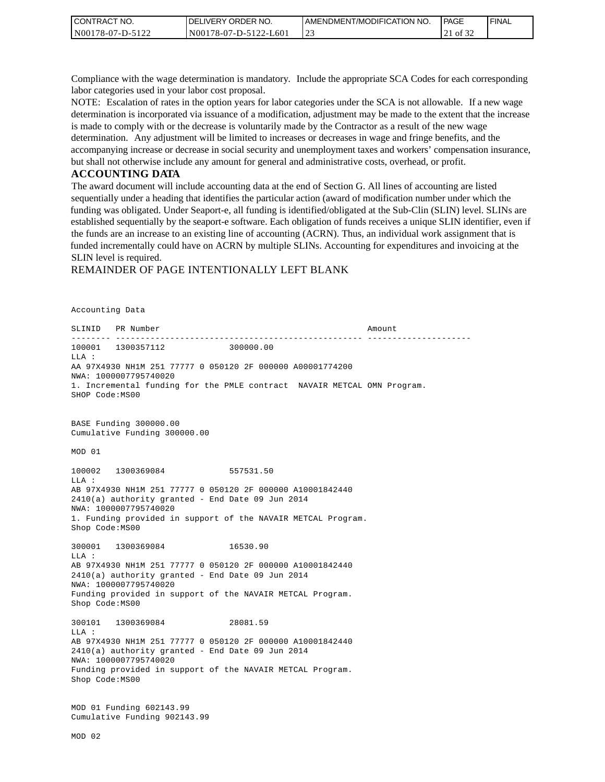| I CONTRACT NO.     | NO.<br>ORDER <sup>'</sup><br>.IVERY<br>DELI | AMENDMENT/MODIFICATION NO. | <b>PAGE</b>           | ' FINAL |
|--------------------|---------------------------------------------|----------------------------|-----------------------|---------|
| N00178-07<br>7-D-. | L60<br>N00178-07-D-5122<br>$7 - 1$          | ب سے                       | 0Ī<br>ے ر<br>$\sim$ 1 |         |

Compliance with the wage determination is mandatory. Include the appropriate SCA Codes for each corresponding labor categories used in your labor cost proposal.

NOTE: Escalation of rates in the option years for labor categories under the SCA is not allowable. If a new wage determination is incorporated via issuance of a modification, adjustment may be made to the extent that the increase is made to comply with or the decrease is voluntarily made by the Contractor as a result of the new wage determination. Any adjustment will be limited to increases or decreases in wage and fringe benefits, and the accompanying increase or decrease in social security and unemployment taxes and workers' compensation insurance, but shall not otherwise include any amount for general and administrative costs, overhead, or profit.

#### **ACCOUNTING DATA**

The award document will include accounting data at the end of Section G. All lines of accounting are listed sequentially under a heading that identifies the particular action (award of modification number under which the funding was obligated. Under Seaport-e, all funding is identified/obligated at the Sub-Clin (SLIN) level. SLINs are established sequentially by the seaport-e software. Each obligation of funds receives a unique SLIN identifier, even if the funds are an increase to an existing line of accounting (ACRN). Thus, an individual work assignment that is funded incrementally could have on ACRN by multiple SLINs. Accounting for expenditures and invoicing at the SLIN level is required.

#### REMAINDER OF PAGE INTENTIONALLY LEFT BLANK

Accounting Data SLINID PR Number Amount -------- -------------------------------------------------- --------------------- 100001 1300357112 300000.00 LLA : AA 97X4930 NH1M 251 77777 0 050120 2F 000000 A00001774200 NWA: 1000007795740020 1. Incremental funding for the PMLE contract NAVAIR METCAL OMN Program. SHOP Code:MS00 BASE Funding 300000.00 Cumulative Funding 300000.00 MOD 01 100002 1300369084 557531.50 LLA : AB 97X4930 NH1M 251 77777 0 050120 2F 000000 A10001842440 2410(a) authority granted - End Date 09 Jun 2014 NWA: 1000007795740020 1. Funding provided in support of the NAVAIR METCAL Program. Shop Code:MS00 300001 1300369084 16530.90 LLA : AB 97X4930 NH1M 251 77777 0 050120 2F 000000 A10001842440 2410(a) authority granted - End Date 09 Jun 2014 NWA: 1000007795740020 Funding provided in support of the NAVAIR METCAL Program. Shop Code:MS00 300101 1300369084 28081.59  $T.T.A$  : AB 97X4930 NH1M 251 77777 0 050120 2F 000000 A10001842440 2410(a) authority granted - End Date 09 Jun 2014 NWA: 1000007795740020 Funding provided in support of the NAVAIR METCAL Program. Shop Code:MS00 MOD 01 Funding 602143.99 Cumulative Funding 902143.99 MOD 02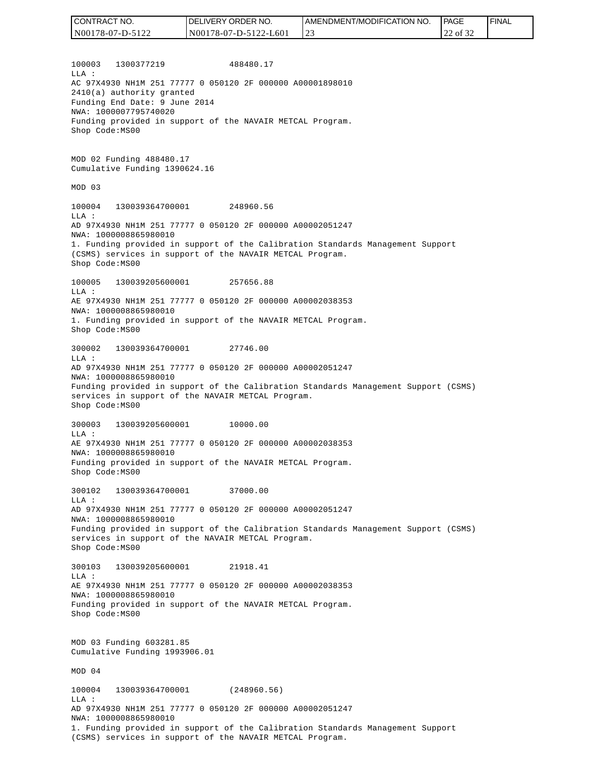| CONTRACT NO.     | <b>IDELIVERY ORDER NO.</b> | I AMENDMENT/MODIFICATION NO. | <b>PAGE</b> | <b>I FINAL</b> |
|------------------|----------------------------|------------------------------|-------------|----------------|
| N00178-07-D-5122 | N00178-07-D-5122-L601      |                              | of 32<br>∸  |                |

100003 1300377219 488480.17 LLA : AC 97X4930 NH1M 251 77777 0 050120 2F 000000 A00001898010 2410(a) authority granted Funding End Date: 9 June 2014 NWA: 1000007795740020 Funding provided in support of the NAVAIR METCAL Program. Shop Code:MS00

MOD 02 Funding 488480.17 Cumulative Funding 1390624.16

#### MOD 03

100004 130039364700001 248960.56 LLA : AD 97X4930 NH1M 251 77777 0 050120 2F 000000 A00002051247 NWA: 1000008865980010 1. Funding provided in support of the Calibration Standards Management Support (CSMS) services in support of the NAVAIR METCAL Program. Shop Code:MS00

100005 130039205600001 257656.88 LLA : AE 97X4930 NH1M 251 77777 0 050120 2F 000000 A00002038353 NWA: 1000008865980010 1. Funding provided in support of the NAVAIR METCAL Program. Shop Code:MS00

300002 130039364700001 27746.00  $T.T.A$  : AD 97X4930 NH1M 251 77777 0 050120 2F 000000 A00002051247 NWA: 1000008865980010 Funding provided in support of the Calibration Standards Management Support (CSMS) services in support of the NAVAIR METCAL Program. Shop Code:MS00

300003 130039205600001 10000.00 LLA : AE 97X4930 NH1M 251 77777 0 050120 2F 000000 A00002038353 NWA: 1000008865980010 Funding provided in support of the NAVAIR METCAL Program. Shop Code:MS00

300102 130039364700001 37000.00 LLA : AD 97X4930 NH1M 251 77777 0 050120 2F 000000 A00002051247 NWA: 1000008865980010 Funding provided in support of the Calibration Standards Management Support (CSMS) services in support of the NAVAIR METCAL Program.

300103 130039205600001 21918.41 LLA : AE 97X4930 NH1M 251 77777 0 050120 2F 000000 A00002038353 NWA: 1000008865980010 Funding provided in support of the NAVAIR METCAL Program. Shop Code:MS00

MOD 03 Funding 603281.85 Cumulative Funding 1993906.01

MOD 04

Shop Code:MS00

100004 130039364700001 (248960.56)  $T.T.A$  : AD 97X4930 NH1M 251 77777 0 050120 2F 000000 A00002051247 NWA: 1000008865980010 1. Funding provided in support of the Calibration Standards Management Support (CSMS) services in support of the NAVAIR METCAL Program.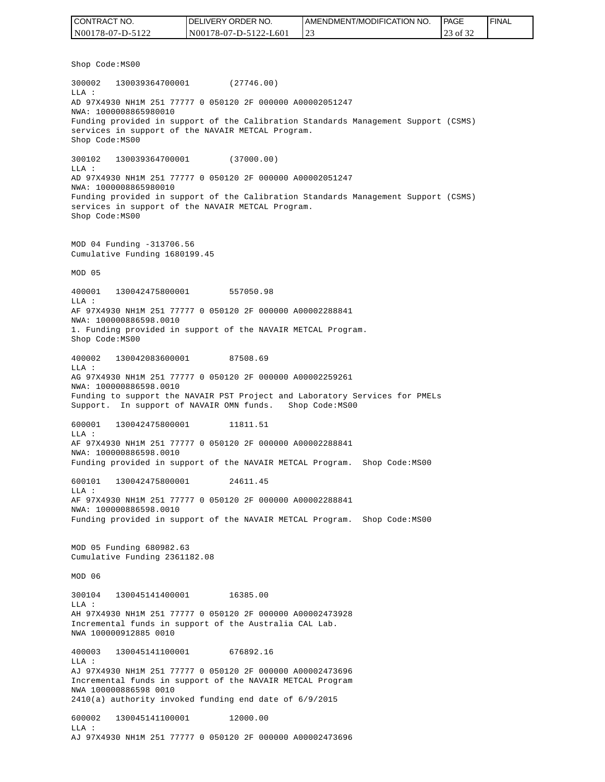| CONTRACT NO.     | DELIVERY ORDER NO.    | <b>I AMENDMENT/MODIFICATION NO.</b> | <b>IPAGE</b> | <b>I FINAL</b> |
|------------------|-----------------------|-------------------------------------|--------------|----------------|
| N00178-07-D-5122 | N00178-07-D-5122-L601 | ت سے                                | of 32        |                |

Shop Code:MS00

300002 130039364700001 (27746.00) LLA : AD 97X4930 NH1M 251 77777 0 050120 2F 000000 A00002051247 NWA: 1000008865980010 Funding provided in support of the Calibration Standards Management Support (CSMS) services in support of the NAVAIR METCAL Program. Shop Code:MS00 300102 130039364700001 (37000.00) LLA : AD 97X4930 NH1M 251 77777 0 050120 2F 000000 A00002051247 NWA: 1000008865980010 Funding provided in support of the Calibration Standards Management Support (CSMS) services in support of the NAVAIR METCAL Program. Shop Code:MS00 MOD 04 Funding -313706.56 Cumulative Funding 1680199.45 MOD 05 400001 130042475800001 557050.98 LLA : AF 97X4930 NH1M 251 77777 0 050120 2F 000000 A00002288841 NWA: 100000886598.0010 1. Funding provided in support of the NAVAIR METCAL Program. Shop Code:MS00 400002 130042083600001 87508.69  $L.L.A$  : AG 97X4930 NH1M 251 77777 0 050120 2F 000000 A00002259261 NWA: 100000886598.0010 Funding to support the NAVAIR PST Project and Laboratory Services for PMELs Support. In support of NAVAIR OMN funds. Shop Code: MS00 600001 130042475800001 11811.51 LLA : AF 97X4930 NH1M 251 77777 0 050120 2F 000000 A00002288841 NWA: 100000886598.0010 Funding provided in support of the NAVAIR METCAL Program. Shop Code: MS00 600101 130042475800001 24611.45 LLA : AF 97X4930 NH1M 251 77777 0 050120 2F 000000 A00002288841 NWA: 100000886598.0010 Funding provided in support of the NAVAIR METCAL Program. Shop Code:MS00 MOD 05 Funding 680982.63 Cumulative Funding 2361182.08 MOD 06 300104 130045141400001 16385.00 LLA : AH 97X4930 NH1M 251 77777 0 050120 2F 000000 A00002473928 Incremental funds in support of the Australia CAL Lab. NWA 100000912885 0010 400003 130045141100001 676892.16 LLA : AJ 97X4930 NH1M 251 77777 0 050120 2F 000000 A00002473696 Incremental funds in support of the NAVAIR METCAL Program NWA 100000886598 0010 2410(a) authority invoked funding end date of 6/9/2015 600002 130045141100001 12000.00 LLA : AJ 97X4930 NH1M 251 77777 0 050120 2F 000000 A00002473696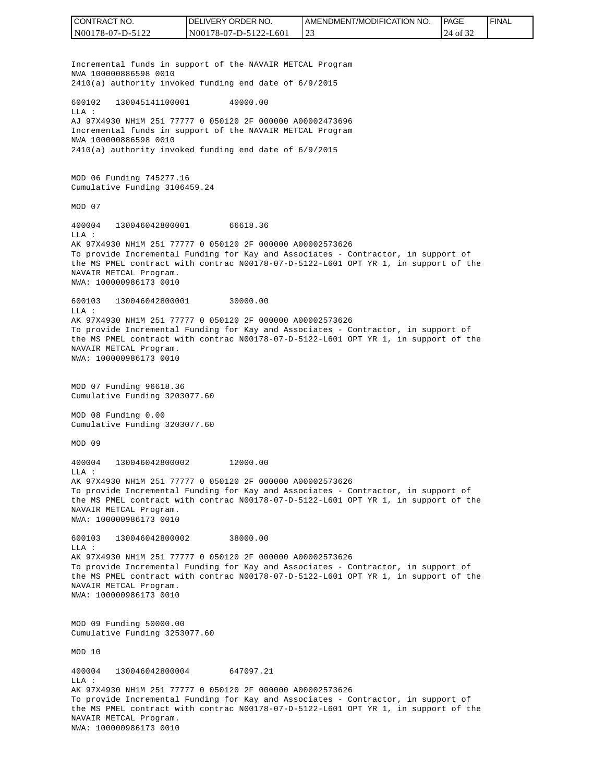CONTRACT NO. DELIVERY ORDER NO. AMENDMENT/MODIFICATION NO. **PAGE**  FINALCONTRACT NO.<br>
NO0178-07-D-5122<br>
Incremental funds in su<br>
NWA 100000886598 0010<br>
2410(a) authority invok<br>
600102 13004514110000<br>
600102 13004514110000<br>
60102 13004514110000<br>
AJ 97X4930 NH1M 251 777<br>
NWA 10000886598 0010<br>
24 N00178-07-D-5122 N00178-07-D-5122-L601 23 24 of 32 Incremental funds in support of the NAVAIR METCAL Program NWA 100000886598 0010 2410(a) authority invoked funding end date of 6/9/2015 600102 130045141100001 40000.00 LLA : AJ 97X4930 NH1M 251 77777 0 050120 2F 000000 A00002473696 Incremental funds in support of the NAVAIR METCAL Program NWA 100000886598 0010 2410(a) authority invoked funding end date of 6/9/2015 MOD 06 Funding 745277.16 Cumulative Funding 3106459.24 MOD 07 400004 130046042800001 66618.36 LLA : AK 97X4930 NH1M 251 77777 0 050120 2F 000000 A00002573626 To provide Incremental Funding for Kay and Associates - Contractor, in support of the MS PMEL contract with contrac N00178-07-D-5122-L601 OPT YR 1, in support of the NAVAIR METCAL Program. NWA: 100000986173 0010 600103 130046042800001 30000.00 LLA : AK 97X4930 NH1M 251 77777 0 050120 2F 000000 A00002573626 To provide Incremental Funding for Kay and Associates - Contractor, in support of the MS PMEL contract with contrac N00178-07-D-5122-L601 OPT YR 1, in support of the NAVAIR METCAL Program. NWA: 100000986173 0010 MOD 07 Funding 96618.36 Cumulative Funding 3203077.60 MOD 08 Funding 0.00 Cumulative Funding 3203077.60 MOD 09 400004 130046042800002 12000.00  $T.T.A$  : AK 97X4930 NH1M 251 77777 0 050120 2F 000000 A00002573626 To provide Incremental Funding for Kay and Associates - Contractor, in support of the MS PMEL contract with contrac N00178-07-D-5122-L601 OPT YR 1, in support of the NAVAIR METCAL Program. NWA: 100000986173 0010 600103 130046042800002 38000.00  $T.T.A$  : AK 97X4930 NH1M 251 77777 0 050120 2F 000000 A00002573626 To provide Incremental Funding for Kay and Associates - Contractor, in support of the MS PMEL contract with contrac N00178-07-D-5122-L601 OPT YR 1, in support of the NAVAIR METCAL Program. NWA: 100000986173 0010 MOD 09 Funding 50000.00 Cumulative Funding 3253077.60 MOD 10 400004 130046042800004 647097.21 LLA : AK 97X4930 NH1M 251 77777 0 050120 2F 000000 A00002573626 To provide Incremental Funding for Kay and Associates - Contractor, in support of the MS PMEL contract with contrac N00178-07-D-5122-L601 OPT YR 1, in support of the NAVAIR METCAL Program.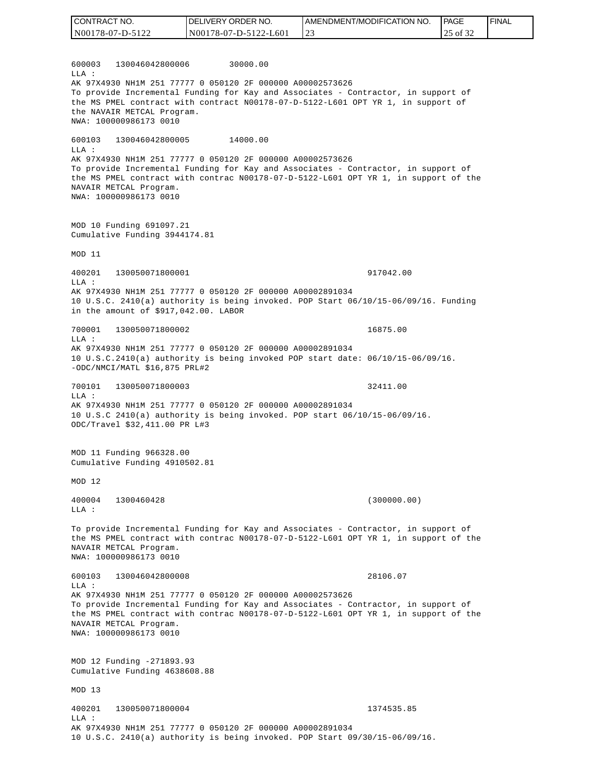600003 130046042800006 30000.00  $T.T.A$  : AK 97X4930 NH1M 251 77777 0 050120 2F 000000 A00002573626 To provide Incremental Funding for Kay and Associates - Contractor, in support of the MS PMEL contract with contract N00178-07-D-5122-L601 OPT YR 1, in support of the NAVAIR METCAL Program. NWA: 100000986173 0010 600103 130046042800005 14000.00 LLA : AK 97X4930 NH1M 251 77777 0 050120 2F 000000 A00002573626 To provide Incremental Funding for Kay and Associates - Contractor, in support of the MS PMEL contract with contrac N00178-07-D-5122-L601 OPT YR 1, in support of the NAVAIR METCAL Program. NWA: 100000986173 0010 MOD 10 Funding 691097.21 Cumulative Funding 3944174.81 MOD 11 400201 130050071800001 917042.00  $T.T.A$  : AK 97X4930 NH1M 251 77777 0 050120 2F 000000 A00002891034 10 U.S.C. 2410(a) authority is being invoked. POP Start 06/10/15-06/09/16. Funding in the amount of \$917,042.00. LABOR 700001 130050071800002 16875.00 LLA : AK 97X4930 NH1M 251 77777 0 050120 2F 000000 A00002891034 10 U.S.C.2410(a) authority is being invoked POP start date: 06/10/15-06/09/16. -ODC/NMCI/MATL \$16,875 PRL#2 700101 130050071800003 32411.00 LLA : AK 97X4930 NH1M 251 77777 0 050120 2F 000000 A00002891034 10 U.S.C 2410(a) authority is being invoked. POP start 06/10/15-06/09/16. ODC/Travel \$32,411.00 PR L#3 MOD 11 Funding 966328.00 Cumulative Funding 4910502.81 MOD 12 400004 1300460428 (300000.00) LLA : To provide Incremental Funding for Kay and Associates - Contractor, in support of the MS PMEL contract with contrac N00178-07-D-5122-L601 OPT YR 1, in support of the NAVAIR METCAL Program. NWA: 100000986173 0010 600103 130046042800008 28106.07 LLA : AK 97X4930 NH1M 251 77777 0 050120 2F 000000 A00002573626 To provide Incremental Funding for Kay and Associates - Contractor, in support of the MS PMEL contract with contrac N00178-07-D-5122-L601 OPT YR 1, in support of the NAVAIR METCAL Program. NWA: 100000986173 0010 MOD 12 Funding -271893.93 Cumulative Funding 4638608.88 MOD 13 400201 130050071800004 1374535.85 LLA : AK 97X4930 NH1M 251 77777 0 050120 2F 000000 A00002891034 10 U.S.C. 2410(a) authority is being invoked. POP Start 09/30/15-06/09/16. CONTRACT NO. N00178-07-D-5122 DELIVERY ORDER NO. N00178-07-D-5122-L601 AMENDMENT/MODIFICATION NO. 23 **PAGE**  25 of 32 FINAL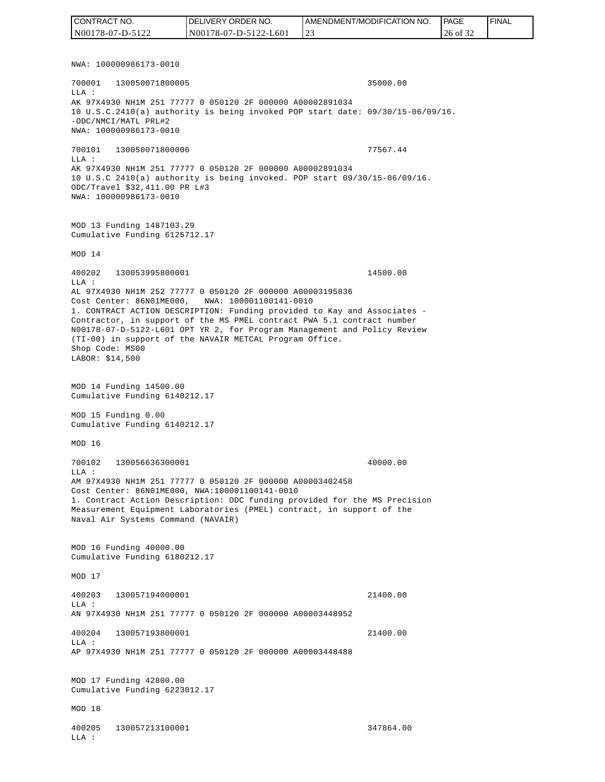NWA: 100000986173-0010 700001 130050071800005 35000.00 LLA : AK 97X4930 NH1M 251 77777 0 050120 2F 000000 A00002891034 10 U.S.C.2410(a) authority is being invoked POP start date: 09/30/15-06/09/16. -ODC/NMCI/MATL PRL#2 NWA: 100000986173-0010 700101 130050071800006 77567.44 LLA : AK 97X4930 NH1M 251 77777 0 050120 2F 000000 A00002891034 10 U.S.C 2410(a) authority is being invoked. POP start 09/30/15-06/09/16. ODC/Travel \$32,411.00 PR L#3 NWA: 100000986173-0010 MOD 13 Funding 1487103.29 Cumulative Funding 6125712.17 MOD 14 400202 130053995800001 14500.00  $T.T.A$  : AL 97X4930 NH1M 252 77777 0 050120 2F 000000 A00003195836 Cost Center: 86N01ME000, NWA: 100001100141-0010 1. CONTRACT ACTION DESCRIPTION: Funding provided to Kay and Associates - Contractor, in support of the MS PMEL contract PWA 5.1 contract number N00178-07-D-5122-L601 OPT YR 2, for Program Management and Policy Review (TI-00) in support of the NAVAIR METCAL Program Office. Shop Code: MS00 LABOR: \$14,500 MOD 14 Funding 14500.00 Cumulative Funding 6140212.17 MOD 15 Funding 0.00 Cumulative Funding 6140212.17 MOD 16 700102 130056636300001 40000.00  $L.L.A$  : AM 97X4930 NH1M 251 77777 0 050120 2F 000000 A00003402458 Cost Center: 86N01ME000, NWA:100001100141-0010 1. Contract Action Description: ODC funding provided for the MS Precision Measurement Equipment Laboratories (PMEL) contract, in support of the Naval Air Systems Command (NAVAIR) MOD 16 Funding 40000.00 Cumulative Funding 6180212.17 MOD 17 400203 130057194000001 21400.00 LLA : AN 97X4930 NH1M 251 77777 0 050120 2F 000000 A00003448952 400204 130057193800001 21400.00  $L.L.A$  : AP 97X4930 NH1M 251 77777 0 050120 2F 000000 A00003448488 MOD 17 Funding 42800.00 Cumulative Funding 6223012.17 MOD 18 400205 130057213100001 347864.00 LLA : CONTRACT NO. N00178-07-D-5122 DELIVERY ORDER NO. N00178-07-D-5122-L601 AMENDMENT/MODIFICATION NO. 23 **PAGE**  26 of 32 FINAL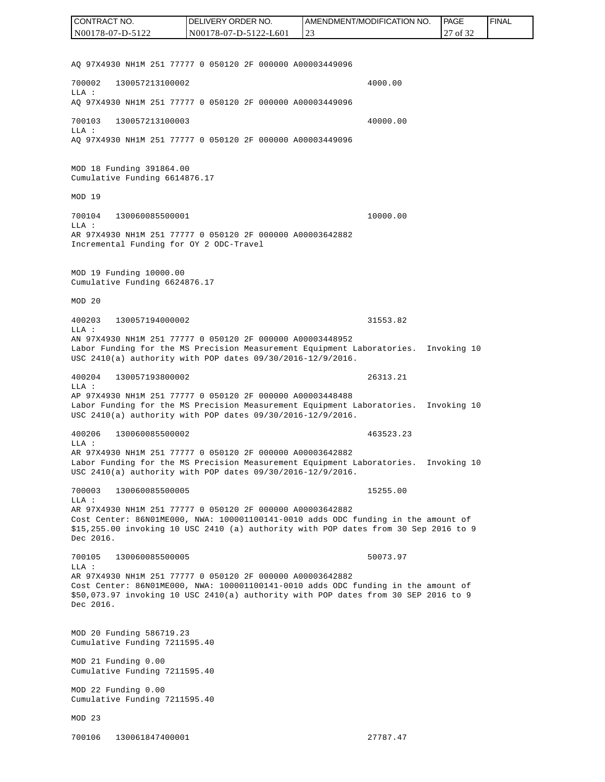AQ 97X4930 NH1M 251 77777 0 050120 2F 000000 A00003449096 700002 130057213100002 4000.00 LLA : AQ 97X4930 NH1M 251 77777 0 050120 2F 000000 A00003449096 700103 130057213100003 40000.00 LLA : AQ 97X4930 NH1M 251 77777 0 050120 2F 000000 A00003449096 MOD 18 Funding 391864.00 Cumulative Funding 6614876.17 MOD 19 700104 130060085500001 10000.00 LLA : AR 97X4930 NH1M 251 77777 0 050120 2F 000000 A00003642882 Incremental Funding for OY 2 ODC-Travel MOD 19 Funding 10000.00 Cumulative Funding 6624876.17 MOD 20 400203 130057194000002 31553.82  $L.L.A$  : AN 97X4930 NH1M 251 77777 0 050120 2F 000000 A00003448952 Labor Funding for the MS Precision Measurement Equipment Laboratories. Invoking 10 USC 2410(a) authority with POP dates 09/30/2016-12/9/2016. 400204 130057193800002 26313.21 LLA : AP 97X4930 NH1M 251 77777 0 050120 2F 000000 A00003448488 Labor Funding for the MS Precision Measurement Equipment Laboratories. Invoking 10 USC 2410(a) authority with POP dates 09/30/2016-12/9/2016. 400206 130060085500002 463523.23 LLA : AR 97X4930 NH1M 251 77777 0 050120 2F 000000 A00003642882 Labor Funding for the MS Precision Measurement Equipment Laboratories. Invoking 10 USC 2410(a) authority with POP dates 09/30/2016-12/9/2016. 700003 130060085500005 15255.00 LLA : AR 97X4930 NH1M 251 77777 0 050120 2F 000000 A00003642882 Cost Center: 86N01ME000, NWA: 100001100141-0010 adds ODC funding in the amount of \$15,255.00 invoking 10 USC 2410 (a) authority with POP dates from 30 Sep 2016 to 9 Dec 2016. 700105 130060085500005 50073.97  $T.T.A$  : AR 97X4930 NH1M 251 77777 0 050120 2F 000000 A00003642882 Cost Center: 86N01ME000, NWA: 100001100141-0010 adds ODC funding in the amount of \$50,073.97 invoking 10 USC 2410(a) authority with POP dates from 30 SEP 2016 to 9 Dec 2016. MOD 20 Funding 586719.23 Cumulative Funding 7211595.40 MOD 21 Funding 0.00 Cumulative Funding 7211595.40 MOD 22 Funding 0.00 Cumulative Funding 7211595.40 MOD 23 700106 130061847400001 27787.47 CONTRACT NO. N00178-07-D-5122 DELIVERY ORDER NO. N00178-07-D-5122-L601 AMENDMENT/MODIFICATION NO. 23 **PAGE**  27 of 32 FINAL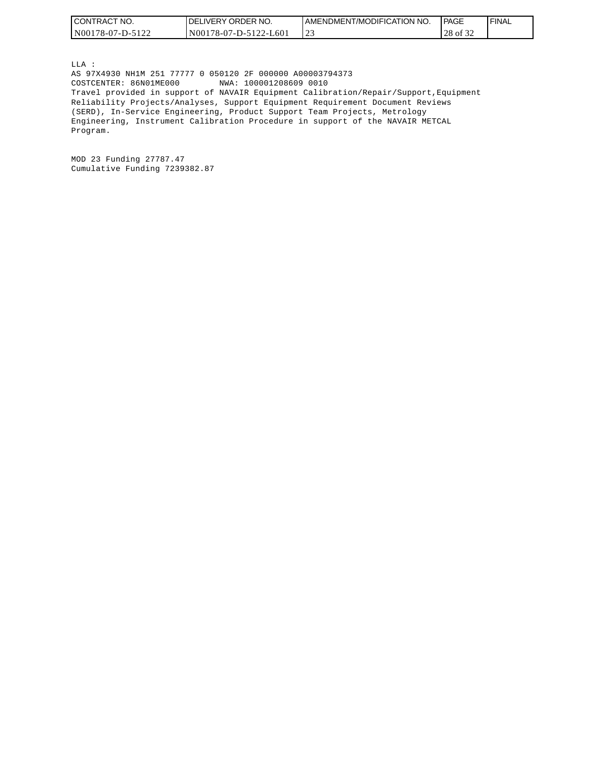| <b>CON</b><br>" NO.<br>TRAC | ORDER NO.<br>DF<br><b>IVERY</b>                    | 'T/MODIFICATION NO.<br>AMENDMENT | PAGE                       | <b>FINAL</b> |
|-----------------------------|----------------------------------------------------|----------------------------------|----------------------------|--------------|
| N001<br>/8-07-D-'           | L601<br>N <sub>00</sub><br>$16 - 07$<br>7-D-.<br>. | $\sim$<br>ت سے                   | $\sim$<br>ገር<br>0132<br>40 |              |

LLA : AS 97X4930 NH1M 251 77777 0 050120 2F 000000 A00003794373 COSTCENTER: 86N01ME000 NWA: 100001208609 0010 Travel provided in support of NAVAIR Equipment Calibration/Repair/Support,Equipment Reliability Projects/Analyses, Support Equipment Requirement Document Reviews (SERD), In-Service Engineering, Product Support Team Projects, Metrology Engineering, Instrument Calibration Procedure in support of the NAVAIR METCAL Program.

MOD 23 Funding 27787.47 Cumulative Funding 7239382.87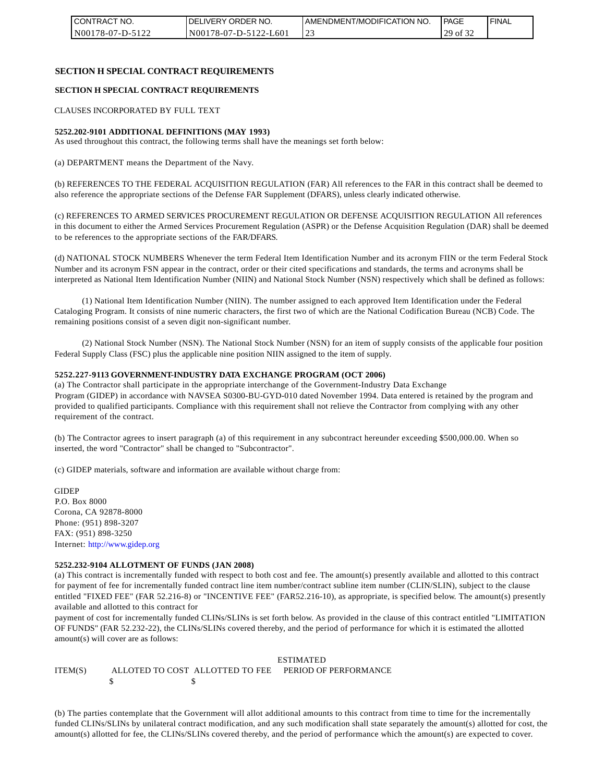| I CONTRACT NO.   | <b>IDELIVERY ORDER NO.</b> | LAMENDMENT/MODIFICATION NO. | PAGE          | ' FINAL |
|------------------|----------------------------|-----------------------------|---------------|---------|
| N00178-07-D-5122 | N00178-07-D-5122-L601      | ت سے                        | $129$ of $52$ |         |

#### **SECTION H SPECIAL CONTRACT REQUIREMENTS**

#### **SECTION H SPECIAL CONTRACT REQUIREMENTS**

CLAUSES INCORPORATED BY FULL TEXT

#### **5252.202-9101 ADDITIONAL DEFINITIONS (MAY 1993)**

As used throughout this contract, the following terms shall have the meanings set forth below:

(a) DEPARTMENT means the Department of the Navy.

(b) REFERENCES TO THE FEDERAL ACQUISITION REGULATION (FAR) All references to the FAR in this contract shall be deemed to also reference the appropriate sections of the Defense FAR Supplement (DFARS), unless clearly indicated otherwise.

(c) REFERENCES TO ARMED SERVICES PROCUREMENT REGULATION OR DEFENSE ACQUISITION REGULATION All references in this document to either the Armed Services Procurement Regulation (ASPR) or the Defense Acquisition Regulation (DAR) shall be deemed to be references to the appropriate sections of the FAR/DFARS.

(d) NATIONAL STOCK NUMBERS Whenever the term Federal Item Identification Number and its acronym FIIN or the term Federal Stock Number and its acronym FSN appear in the contract, order or their cited specifications and standards, the terms and acronyms shall be interpreted as National Item Identification Number (NIIN) and National Stock Number (NSN) respectively which shall be defined as follows:

(1) National Item Identification Number (NIIN). The number assigned to each approved Item Identification under the Federal Cataloging Program. It consists of nine numeric characters, the first two of which are the National Codification Bureau (NCB) Code. The remaining positions consist of a seven digit non-significant number.

(2) National Stock Number (NSN). The National Stock Number (NSN) for an item of supply consists of the applicable four position Federal Supply Class (FSC) plus the applicable nine position NIIN assigned to the item of supply.

#### **5252.227-9113 GOVERNMENT-INDUSTRY DATA EXCHANGE PROGRAM (OCT 2006)**

(a) The Contractor shall participate in the appropriate interchange of the Government-Industry Data Exchange Program (GIDEP) in accordance with NAVSEA S0300-BU-GYD-010 dated November 1994. Data entered is retained by the program and provided to qualified participants. Compliance with this requirement shall not relieve the Contractor from complying with any other requirement of the contract.

(b) The Contractor agrees to insert paragraph (a) of this requirement in any subcontract hereunder exceeding \$500,000.00. When so inserted, the word "Contractor" shall be changed to "Subcontractor".

(c) GIDEP materials, software and information are available without charge from:

**GIDEP** P.O. Box 8000 Corona, CA 92878-8000 Phone: (951) 898-3207 FAX: (951) 898-3250 Internet: http://www.gidep.org

#### **5252.232-9104 ALLOTMENT OF FUNDS (JAN 2008)**

(a) This contract is incrementally funded with respect to both cost and fee. The amount(s) presently available and allotted to this contract for payment of fee for incrementally funded contract line item number/contract subline item number (CLIN/SLIN), subject to the clause entitled "FIXED FEE" (FAR 52.216-8) or "INCENTIVE FEE" (FAR52.216-10), as appropriate, is specified below. The amount(s) presently available and allotted to this contract for

payment of cost for incrementally funded CLINs/SLINs is set forth below. As provided in the clause of this contract entitled "LIMITATION OF FUNDS" (FAR 52.232-22), the CLINs/SLINs covered thereby, and the period of performance for which it is estimated the allotted amount(s) will cover are as follows:

#### ESTIMATED

ITEM(S) ALLOTED TO COST ALLOTTED TO FEE PERIOD OF PERFORMANCE  $\mathsf{s}$   $\mathsf{s}$ 

(b) The parties contemplate that the Government will allot additional amounts to this contract from time to time for the incrementally funded CLINs/SLINs by unilateral contract modification, and any such modification shall state separately the amount(s) allotted for cost, the amount(s) allotted for fee, the CLINs/SLINs covered thereby, and the period of performance which the amount(s) are expected to cover.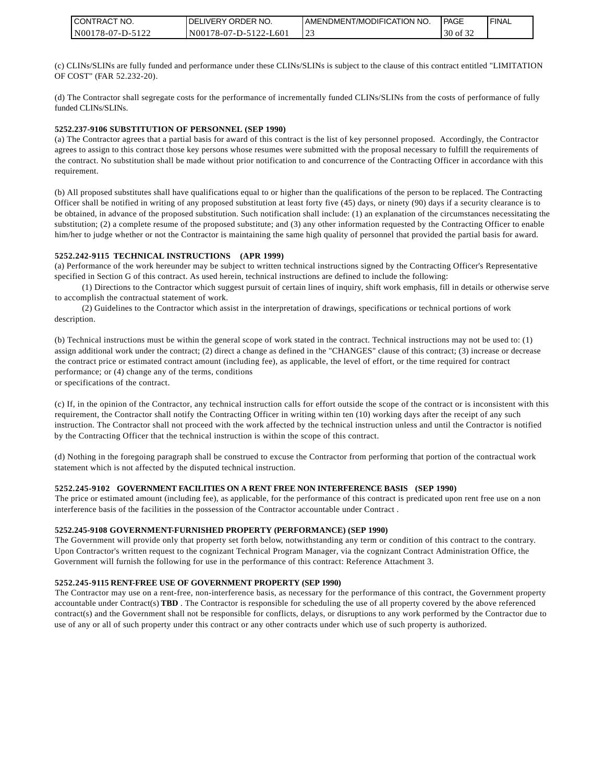| <b>CONTRACT NO.</b> | DELIVERY ORDER NO.    | I AMENDMENT/MODIFICATION NO. | PAGE                     | <b>FINAL</b> |
|---------------------|-----------------------|------------------------------|--------------------------|--------------|
| N00178-07-D-5122    | N00178-07-D-5122-L601 |                              | $c \wedge c$<br>30 of 32 |              |

(c) CLINs/SLINs are fully funded and performance under these CLINs/SLINs is subject to the clause of this contract entitled "LIMITATION OF COST" (FAR 52.232-20).

(d) The Contractor shall segregate costs for the performance of incrementally funded CLINs/SLINs from the costs of performance of fully funded CLINs/SLINs.

#### **5252.237-9106 SUBSTITUTION OF PERSONNEL (SEP 1990)**

(a) The Contractor agrees that a partial basis for award of this contract is the list of key personnel proposed. Accordingly, the Contractor agrees to assign to this contract those key persons whose resumes were submitted with the proposal necessary to fulfill the requirements of the contract. No substitution shall be made without prior notification to and concurrence of the Contracting Officer in accordance with this requirement.

(b) All proposed substitutes shall have qualifications equal to or higher than the qualifications of the person to be replaced. The Contracting Officer shall be notified in writing of any proposed substitution at least forty five (45) days, or ninety (90) days if a security clearance is to be obtained, in advance of the proposed substitution. Such notification shall include: (1) an explanation of the circumstances necessitating the substitution; (2) a complete resume of the proposed substitute; and (3) any other information requested by the Contracting Officer to enable him/her to judge whether or not the Contractor is maintaining the same high quality of personnel that provided the partial basis for award.

#### **5252.242-9115 TECHNICAL INSTRUCTIONS (APR 1999)**

(a) Performance of the work hereunder may be subject to written technical instructions signed by the Contracting Officer's Representative specified in Section G of this contract. As used herein, technical instructions are defined to include the following:

(1) Directions to the Contractor which suggest pursuit of certain lines of inquiry, shift work emphasis, fill in details or otherwise serve to accomplish the contractual statement of work.

(2) Guidelines to the Contractor which assist in the interpretation of drawings, specifications or technical portions of work description.

(b) Technical instructions must be within the general scope of work stated in the contract. Technical instructions may not be used to: (1) assign additional work under the contract; (2) direct a change as defined in the "CHANGES" clause of this contract; (3) increase or decrease the contract price or estimated contract amount (including fee), as applicable, the level of effort, or the time required for contract performance; or (4) change any of the terms, conditions or specifications of the contract.

(c) If, in the opinion of the Contractor, any technical instruction calls for effort outside the scope of the contract or is inconsistent with this requirement, the Contractor shall notify the Contracting Officer in writing within ten (10) working days after the receipt of any such instruction. The Contractor shall not proceed with the work affected by the technical instruction unless and until the Contractor is notified by the Contracting Officer that the technical instruction is within the scope of this contract.

(d) Nothing in the foregoing paragraph shall be construed to excuse the Contractor from performing that portion of the contractual work statement which is not affected by the disputed technical instruction.

#### **5252.245-9102 GOVERNMENT FACILITIES ON A RENT FREE NON INTERFERENCE BASIS (SEP 1990)**

The price or estimated amount (including fee), as applicable, for the performance of this contract is predicated upon rent free use on a non interference basis of the facilities in the possession of the Contractor accountable under Contract .

#### **5252.245-9108 GOVERNMENT-FURNISHED PROPERTY (PERFORMANCE) (SEP 1990)**

The Government will provide only that property set forth below, notwithstanding any term or condition of this contract to the contrary. Upon Contractor's written request to the cognizant Technical Program Manager, via the cognizant Contract Administration Office, the Government will furnish the following for use in the performance of this contract: Reference Attachment 3.

#### **5252.245-9115 RENT-FREE USE OF GOVERNMENT PROPERTY (SEP 1990)**

The Contractor may use on a rent-free, non-interference basis, as necessary for the performance of this contract, the Government property accountable under Contract(s) **TBD** . The Contractor is responsible for scheduling the use of all property covered by the above referenced contract(s) and the Government shall not be responsible for conflicts, delays, or disruptions to any work performed by the Contractor due to use of any or all of such property under this contract or any other contracts under which use of such property is authorized.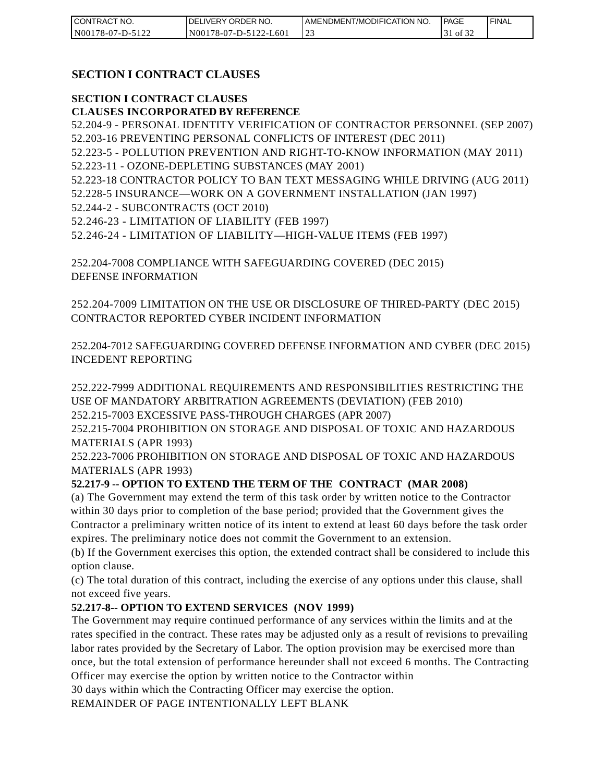| I CONTRACT NO.   | <b>IDELIVERY ORDER NO.</b> | I AMENDMENT/MODIFICATION NO. | <b>PAGE</b> | ' FINAL |
|------------------|----------------------------|------------------------------|-------------|---------|
| N00178-07-D-5122 | N00178-07-D-5122-L601      | ٠.                           | of 32       |         |

## **SECTION I CONTRACT CLAUSES**

#### **SECTION I CONTRACT CLAUSES CLAUSES INCORPORATED BY REFERENCE**

52.204-9 - PERSONAL IDENTITY VERIFICATION OF CONTRACTOR PERSONNEL (SEP 2007) 52.203-16 PREVENTING PERSONAL CONFLICTS OF INTEREST (DEC 2011)

52.223-5 - POLLUTION PREVENTION AND RIGHT-TO-KNOW INFORMATION (MAY 2011) 52.223-11 - OZONE-DEPLETING SUBSTANCES (MAY 2001)

- 52.223-18 CONTRACTOR POLICY TO BAN TEXT MESSAGING WHILE DRIVING (AUG 2011)
- 52.228-5 INSURANCE—WORK ON A GOVERNMENT INSTALLATION (JAN 1997)
- 52.244-2 SUBCONTRACTS (OCT 2010)
- 52.246-23 LIMITATION OF LIABILITY (FEB 1997)

52.246-24 - LIMITATION OF LIABILITY—HIGH-VALUE ITEMS (FEB 1997)

252.204-7008 COMPLIANCE WITH SAFEGUARDING COVERED (DEC 2015) DEFENSE INFORMATION

252.204-7009 LIMITATION ON THE USE OR DISCLOSURE OF THIRED-PARTY (DEC 2015) CONTRACTOR REPORTED CYBER INCIDENT INFORMATION

252.204-7012 SAFEGUARDING COVERED DEFENSE INFORMATION AND CYBER (DEC 2015) INCEDENT REPORTING

252.222-7999 ADDITIONAL REQUIREMENTS AND RESPONSIBILITIES RESTRICTING THE USE OF MANDATORY ARBITRATION AGREEMENTS (DEVIATION) (FEB 2010) 252.215-7003 EXCESSIVE PASS-THROUGH CHARGES (APR 2007)

252.215-7004 PROHIBITION ON STORAGE AND DISPOSAL OF TOXIC AND HAZARDOUS MATERIALS (APR 1993)

252.223-7006 PROHIBITION ON STORAGE AND DISPOSAL OF TOXIC AND HAZARDOUS MATERIALS (APR 1993)

## **52.217-9 -- OPTION TO EXTEND THE TERM OF THE CONTRACT (MAR 2008)**

(a) The Government may extend the term of this task order by written notice to the Contractor within 30 days prior to completion of the base period; provided that the Government gives the Contractor a preliminary written notice of its intent to extend at least 60 days before the task order expires. The preliminary notice does not commit the Government to an extension.

(b) If the Government exercises this option, the extended contract shall be considered to include this option clause.

(c) The total duration of this contract, including the exercise of any options under this clause, shall not exceed five years.

#### **52.217-8-- OPTION TO EXTEND SERVICES (NOV 1999)**

The Government may require continued performance of any services within the limits and at the rates specified in the contract. These rates may be adjusted only as a result of revisions to prevailing labor rates provided by the Secretary of Labor. The option provision may be exercised more than once, but the total extension of performance hereunder shall not exceed 6 months. The Contracting Officer may exercise the option by written notice to the Contractor within

30 days within which the Contracting Officer may exercise the option.